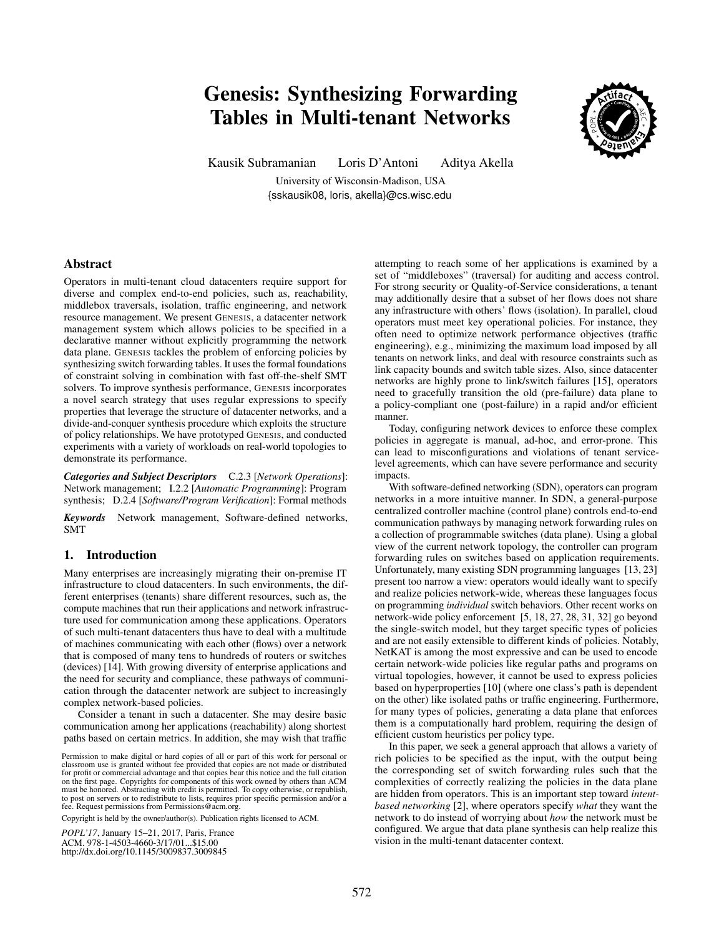# Genesis: Synthesizing Forwarding Tables in Multi-tenant Networks



Kausik Subramanian Loris D'Antoni Aditya Akella

University of Wisconsin-Madison, USA {sskausik08, loris, akella}@cs.wisc.edu

## Abstract

Operators in multi-tenant cloud datacenters require support for diverse and complex end-to-end policies, such as, reachability, middlebox traversals, isolation, traffic engineering, and network resource management. We present GENESIS, a datacenter network management system which allows policies to be specified in a declarative manner without explicitly programming the network data plane. GENESIS tackles the problem of enforcing policies by synthesizing switch forwarding tables. It uses the formal foundations of constraint solving in combination with fast off-the-shelf SMT solvers. To improve synthesis performance, GENESIS incorporates a novel search strategy that uses regular expressions to specify properties that leverage the structure of datacenter networks, and a divide-and-conquer synthesis procedure which exploits the structure of policy relationships. We have prototyped GENESIS, and conducted experiments with a variety of workloads on real-world topologies to demonstrate its performance.

*Categories and Subject Descriptors* C.2.3 [*Network Operations*]: Network management; I.2.2 [*Automatic Programming*]: Program synthesis; D.2.4 [*Software/Program Verification*]: Formal methods

*Keywords* Network management, Software-defined networks, SMT

## 1. Introduction

Many enterprises are increasingly migrating their on-premise IT infrastructure to cloud datacenters. In such environments, the different enterprises (tenants) share different resources, such as, the compute machines that run their applications and network infrastructure used for communication among these applications. Operators of such multi-tenant datacenters thus have to deal with a multitude of machines communicating with each other (flows) over a network that is composed of many tens to hundreds of routers or switches (devices) [14]. With growing diversity of enterprise applications and the need for security and compliance, these pathways of communication through the datacenter network are subject to increasingly complex network-based policies.

Consider a tenant in such a datacenter. She may desire basic communication among her applications (reachability) along shortest paths based on certain metrics. In addition, she may wish that traffic

Copyright is held by the owner/author(s). Publication rights licensed to ACM.

*POPL'17*, January 15–21, 2017, Paris, France ACM. 978-1-4503-4660-3/17/01...\$15.00 http://dx.doi.org/10.1145/3009837.3009845

attempting to reach some of her applications is examined by a set of "middleboxes" (traversal) for auditing and access control. For strong security or Quality-of-Service considerations, a tenant may additionally desire that a subset of her flows does not share any infrastructure with others' flows (isolation). In parallel, cloud operators must meet key operational policies. For instance, they often need to optimize network performance objectives (traffic engineering), e.g., minimizing the maximum load imposed by all tenants on network links, and deal with resource constraints such as link capacity bounds and switch table sizes. Also, since datacenter networks are highly prone to link/switch failures [15], operators need to gracefully transition the old (pre-failure) data plane to a policy-compliant one (post-failure) in a rapid and/or efficient manner.

Today, configuring network devices to enforce these complex policies in aggregate is manual, ad-hoc, and error-prone. This can lead to misconfigurations and violations of tenant servicelevel agreements, which can have severe performance and security impacts.

With software-defined networking (SDN), operators can program networks in a more intuitive manner. In SDN, a general-purpose centralized controller machine (control plane) controls end-to-end communication pathways by managing network forwarding rules on a collection of programmable switches (data plane). Using a global view of the current network topology, the controller can program forwarding rules on switches based on application requirements. Unfortunately, many existing SDN programming languages [13, 23] present too narrow a view: operators would ideally want to specify and realize policies network-wide, whereas these languages focus on programming *individual* switch behaviors. Other recent works on network-wide policy enforcement [5, 18, 27, 28, 31, 32] go beyond the single-switch model, but they target specific types of policies and are not easily extensible to different kinds of policies. Notably, NetKAT is among the most expressive and can be used to encode certain network-wide policies like regular paths and programs on virtual topologies, however, it cannot be used to express policies based on hyperproperties [10] (where one class's path is dependent on the other) like isolated paths or traffic engineering. Furthermore, for many types of policies, generating a data plane that enforces them is a computationally hard problem, requiring the design of efficient custom heuristics per policy type.

In this paper, we seek a general approach that allows a variety of rich policies to be specified as the input, with the output being the corresponding set of switch forwarding rules such that the complexities of correctly realizing the policies in the data plane are hidden from operators. This is an important step toward *intentbased networking* [2], where operators specify *what* they want the network to do instead of worrying about *how* the network must be configured. We argue that data plane synthesis can help realize this vision in the multi-tenant datacenter context.

Permission to make digital or hard copies of all or part of this work for personal or classroom use is granted without fee provided that copies are not made or distributed for profit or commercial advantage and that copies bear this notice and the full citation on the first page. Copyrights for components of this work owned by others than ACM must be honored. Abstracting with credit is permitted. To copy otherwise, or republish, to post on servers or to redistribute to lists, requires prior specific permission and/or a fee. Request permissions from Permissions@acm.org.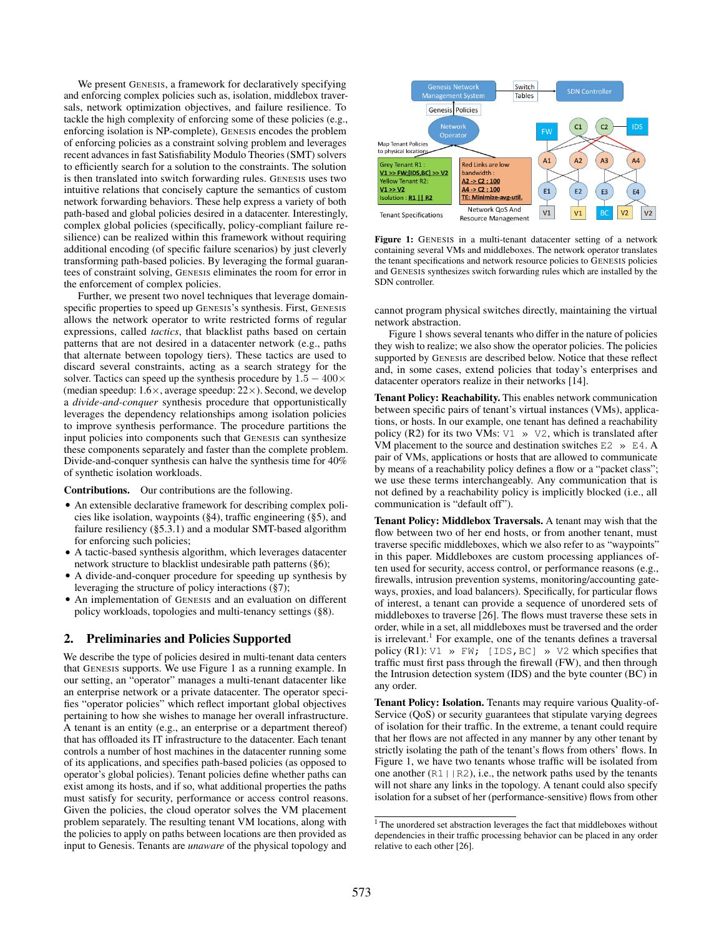We present GENESIS, a framework for declaratively specifying and enforcing complex policies such as, isolation, middlebox traversals, network optimization objectives, and failure resilience. To tackle the high complexity of enforcing some of these policies (e.g., enforcing isolation is NP-complete), GENESIS encodes the problem of enforcing policies as a constraint solving problem and leverages recent advances in fast Satisfiability Modulo Theories (SMT) solvers to efficiently search for a solution to the constraints. The solution is then translated into switch forwarding rules. GENESIS uses two intuitive relations that concisely capture the semantics of custom network forwarding behaviors. These help express a variety of both path-based and global policies desired in a datacenter. Interestingly, complex global policies (specifically, policy-compliant failure resilience) can be realized within this framework without requiring additional encoding (of specific failure scenarios) by just cleverly transforming path-based policies. By leveraging the formal guarantees of constraint solving, GENESIS eliminates the room for error in the enforcement of complex policies.

Further, we present two novel techniques that leverage domainspecific properties to speed up GENESIS's synthesis. First, GENESIS allows the network operator to write restricted forms of regular expressions, called *tactics*, that blacklist paths based on certain patterns that are not desired in a datacenter network (e.g., paths that alternate between topology tiers). These tactics are used to discard several constraints, acting as a search strategy for the solver. Tactics can speed up the synthesis procedure by  $1.5 - 400 \times$ (median speedup: 1.6×, average speedup: 22×). Second, we develop a *divide-and-conquer* synthesis procedure that opportunistically leverages the dependency relationships among isolation policies to improve synthesis performance. The procedure partitions the input policies into components such that GENESIS can synthesize these components separately and faster than the complete problem. Divide-and-conquer synthesis can halve the synthesis time for 40% of synthetic isolation workloads.

Contributions. Our contributions are the following.

- An extensible declarative framework for describing complex policies like isolation, waypoints (§4), traffic engineering (§5), and failure resiliency (§5.3.1) and a modular SMT-based algorithm for enforcing such policies;
- A tactic-based synthesis algorithm, which leverages datacenter network structure to blacklist undesirable path patterns (§6);
- A divide-and-conquer procedure for speeding up synthesis by leveraging the structure of policy interactions (§7);
- An implementation of GENESIS and an evaluation on different policy workloads, topologies and multi-tenancy settings (§8).

## 2. Preliminaries and Policies Supported

We describe the type of policies desired in multi-tenant data centers that GENESIS supports. We use Figure 1 as a running example. In our setting, an "operator" manages a multi-tenant datacenter like an enterprise network or a private datacenter. The operator specifies "operator policies" which reflect important global objectives pertaining to how she wishes to manage her overall infrastructure. A tenant is an entity (e.g., an enterprise or a department thereof) that has offloaded its IT infrastructure to the datacenter. Each tenant controls a number of host machines in the datacenter running some of its applications, and specifies path-based policies (as opposed to operator's global policies). Tenant policies define whether paths can exist among its hosts, and if so, what additional properties the paths must satisfy for security, performance or access control reasons. Given the policies, the cloud operator solves the VM placement problem separately. The resulting tenant VM locations, along with the policies to apply on paths between locations are then provided as input to Genesis. Tenants are *unaware* of the physical topology and



Figure 1: GENESIS in a multi-tenant datacenter setting of a network containing several VMs and middleboxes. The network operator translates the tenant specifications and network resource policies to GENESIS policies and GENESIS synthesizes switch forwarding rules which are installed by the SDN controller.

cannot program physical switches directly, maintaining the virtual network abstraction.

Figure 1 shows several tenants who differ in the nature of policies they wish to realize; we also show the operator policies. The policies supported by GENESIS are described below. Notice that these reflect and, in some cases, extend policies that today's enterprises and datacenter operators realize in their networks [14].

Tenant Policy: Reachability. This enables network communication between specific pairs of tenant's virtual instances (VMs), applications, or hosts. In our example, one tenant has defined a reachability policy (R2) for its two VMs:  $V1 \rightarrow V2$ , which is translated after VM placement to the source and destination switches  $E2 \rightarrow E4$ . A pair of VMs, applications or hosts that are allowed to communicate by means of a reachability policy defines a flow or a "packet class"; we use these terms interchangeably. Any communication that is not defined by a reachability policy is implicitly blocked (i.e., all communication is "default off").

Tenant Policy: Middlebox Traversals. A tenant may wish that the flow between two of her end hosts, or from another tenant, must traverse specific middleboxes, which we also refer to as "waypoints" in this paper. Middleboxes are custom processing appliances often used for security, access control, or performance reasons (e.g., firewalls, intrusion prevention systems, monitoring/accounting gateways, proxies, and load balancers). Specifically, for particular flows of interest, a tenant can provide a sequence of unordered sets of middleboxes to traverse [26]. The flows must traverse these sets in order, while in a set, all middleboxes must be traversed and the order is irrelevant.<sup>1</sup> For example, one of the tenants defines a traversal policy (R1):  $\forall 1 \rightarrow \exists \forall i$ ; [IDS, BC]  $\rightarrow \forall 2$  which specifies that traffic must first pass through the firewall (FW), and then through the Intrusion detection system (IDS) and the byte counter (BC) in any order.

Tenant Policy: Isolation. Tenants may require various Quality-of-Service (QoS) or security guarantees that stipulate varying degrees of isolation for their traffic. In the extreme, a tenant could require that her flows are not affected in any manner by any other tenant by strictly isolating the path of the tenant's flows from others' flows. In Figure 1, we have two tenants whose traffic will be isolated from one another  $(R1 | R2)$ , i.e., the network paths used by the tenants will not share any links in the topology. A tenant could also specify isolation for a subset of her (performance-sensitive) flows from other

<sup>&</sup>lt;sup>1</sup> The unordered set abstraction leverages the fact that middleboxes without dependencies in their traffic processing behavior can be placed in any order relative to each other [26].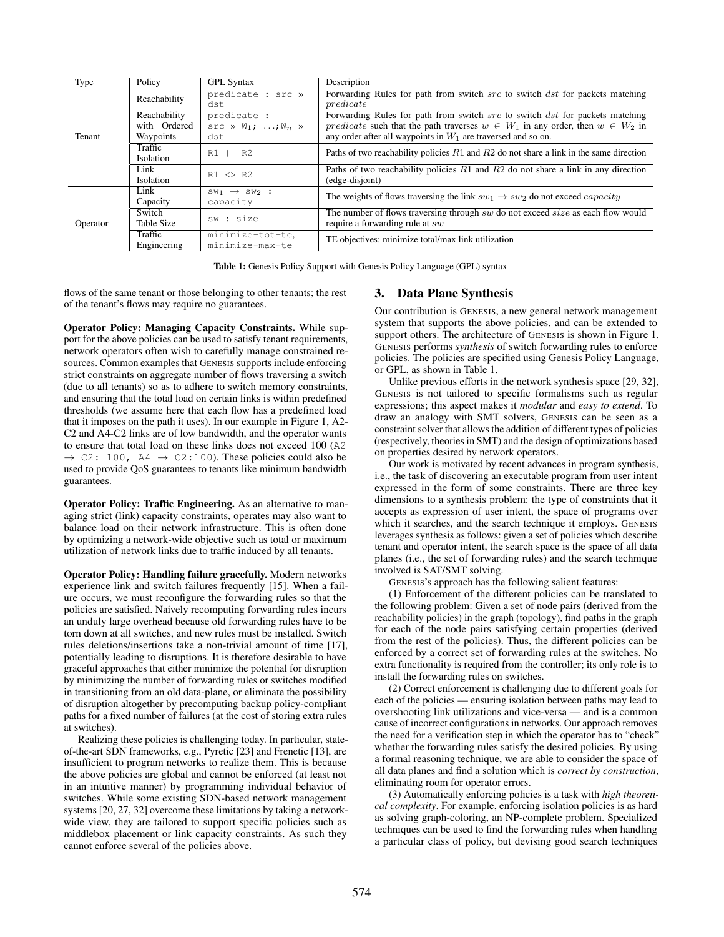| Type     | Policy       | <b>GPL Syntax</b>             | Description                                                                                    |  |
|----------|--------------|-------------------------------|------------------------------------------------------------------------------------------------|--|
| Tenant   | Reachability | predicate : src »             | Forwarding Rules for path from switch <i>src</i> to switch dst for packets matching            |  |
|          |              | dst                           | predicate                                                                                      |  |
|          | Reachability | predicate :                   | Forwarding Rules for path from switch <i>src</i> to switch dst for packets matching            |  |
|          | with Ordered | STC $\gg$ $W_1$ ; ; $W_n \gg$ | predicate such that the path traverses $w \in W_1$ in any order, then $w \in W_2$ in           |  |
|          | Waypoints    | dst                           | any order after all waypoints in $W_1$ are traversed and so on.                                |  |
|          | Traffic      | $R1$ $\parallel$ $R2$         | Paths of two reachability policies $R1$ and $R2$ do not share a link in the same direction     |  |
|          | Isolation    |                               |                                                                                                |  |
|          | Link         | $R1 \leq R2$                  | Paths of two reachability policies $R1$ and $R2$ do not share a link in any direction          |  |
|          | Isolation    |                               | (edge-disjoint)                                                                                |  |
| Operator | Link         | $SW_1 \rightarrow SW_2$ :     | The weights of flows traversing the link $sw_1 \rightarrow sw_2$ do not exceed <i>capacity</i> |  |
|          | Capacity     | capacity                      |                                                                                                |  |
|          | Switch       | sw : size                     | The number of flows traversing through sw do not exceed size as each flow would                |  |
|          | Table Size   |                               | require a forwarding rule at $sw$                                                              |  |
|          | Traffic      | minimize-tot-te,              | TE objectives: minimize total/max link utilization                                             |  |
|          | Engineering  | minimize-max-te               |                                                                                                |  |

Table 1: Genesis Policy Support with Genesis Policy Language (GPL) syntax

flows of the same tenant or those belonging to other tenants; the rest of the tenant's flows may require no guarantees.

Operator Policy: Managing Capacity Constraints. While support for the above policies can be used to satisfy tenant requirements, network operators often wish to carefully manage constrained resources. Common examples that GENESIS supports include enforcing strict constraints on aggregate number of flows traversing a switch (due to all tenants) so as to adhere to switch memory constraints, and ensuring that the total load on certain links is within predefined thresholds (we assume here that each flow has a predefined load that it imposes on the path it uses). In our example in Figure 1, A2- C2 and A4-C2 links are of low bandwidth, and the operator wants to ensure that total load on these links does not exceed 100 (A2  $\rightarrow$  C2: 100, A4  $\rightarrow$  C2:100). These policies could also be used to provide QoS guarantees to tenants like minimum bandwidth guarantees.

Operator Policy: Traffic Engineering. As an alternative to managing strict (link) capacity constraints, operates may also want to balance load on their network infrastructure. This is often done by optimizing a network-wide objective such as total or maximum utilization of network links due to traffic induced by all tenants.

Operator Policy: Handling failure gracefully. Modern networks experience link and switch failures frequently [15]. When a failure occurs, we must reconfigure the forwarding rules so that the policies are satisfied. Naively recomputing forwarding rules incurs an unduly large overhead because old forwarding rules have to be torn down at all switches, and new rules must be installed. Switch rules deletions/insertions take a non-trivial amount of time [17], potentially leading to disruptions. It is therefore desirable to have graceful approaches that either minimize the potential for disruption by minimizing the number of forwarding rules or switches modified in transitioning from an old data-plane, or eliminate the possibility of disruption altogether by precomputing backup policy-compliant paths for a fixed number of failures (at the cost of storing extra rules at switches).

Realizing these policies is challenging today. In particular, stateof-the-art SDN frameworks, e.g., Pyretic [23] and Frenetic [13], are insufficient to program networks to realize them. This is because the above policies are global and cannot be enforced (at least not in an intuitive manner) by programming individual behavior of switches. While some existing SDN-based network management systems [20, 27, 32] overcome these limitations by taking a networkwide view, they are tailored to support specific policies such as middlebox placement or link capacity constraints. As such they cannot enforce several of the policies above.

# 3. Data Plane Synthesis

Our contribution is GENESIS, a new general network management system that supports the above policies, and can be extended to support others. The architecture of GENESIS is shown in Figure 1. GENESIS performs *synthesis* of switch forwarding rules to enforce policies. The policies are specified using Genesis Policy Language, or GPL, as shown in Table 1.

Unlike previous efforts in the network synthesis space [29, 32], GENESIS is not tailored to specific formalisms such as regular expressions; this aspect makes it *modular* and *easy to extend*. To draw an analogy with SMT solvers, GENESIS can be seen as a constraint solver that allows the addition of different types of policies (respectively, theories in SMT) and the design of optimizations based on properties desired by network operators.

Our work is motivated by recent advances in program synthesis, i.e., the task of discovering an executable program from user intent expressed in the form of some constraints. There are three key dimensions to a synthesis problem: the type of constraints that it accepts as expression of user intent, the space of programs over which it searches, and the search technique it employs. GENESIS leverages synthesis as follows: given a set of policies which describe tenant and operator intent, the search space is the space of all data planes (i.e., the set of forwarding rules) and the search technique involved is SAT/SMT solving.

GENESIS's approach has the following salient features:

(1) Enforcement of the different policies can be translated to the following problem: Given a set of node pairs (derived from the reachability policies) in the graph (topology), find paths in the graph for each of the node pairs satisfying certain properties (derived from the rest of the policies). Thus, the different policies can be enforced by a correct set of forwarding rules at the switches. No extra functionality is required from the controller; its only role is to install the forwarding rules on switches.

(2) Correct enforcement is challenging due to different goals for each of the policies — ensuring isolation between paths may lead to overshooting link utilizations and vice-versa — and is a common cause of incorrect configurations in networks. Our approach removes the need for a verification step in which the operator has to "check" whether the forwarding rules satisfy the desired policies. By using a formal reasoning technique, we are able to consider the space of all data planes and find a solution which is *correct by construction*, eliminating room for operator errors.

(3) Automatically enforcing policies is a task with *high theoretical complexity*. For example, enforcing isolation policies is as hard as solving graph-coloring, an NP-complete problem. Specialized techniques can be used to find the forwarding rules when handling a particular class of policy, but devising good search techniques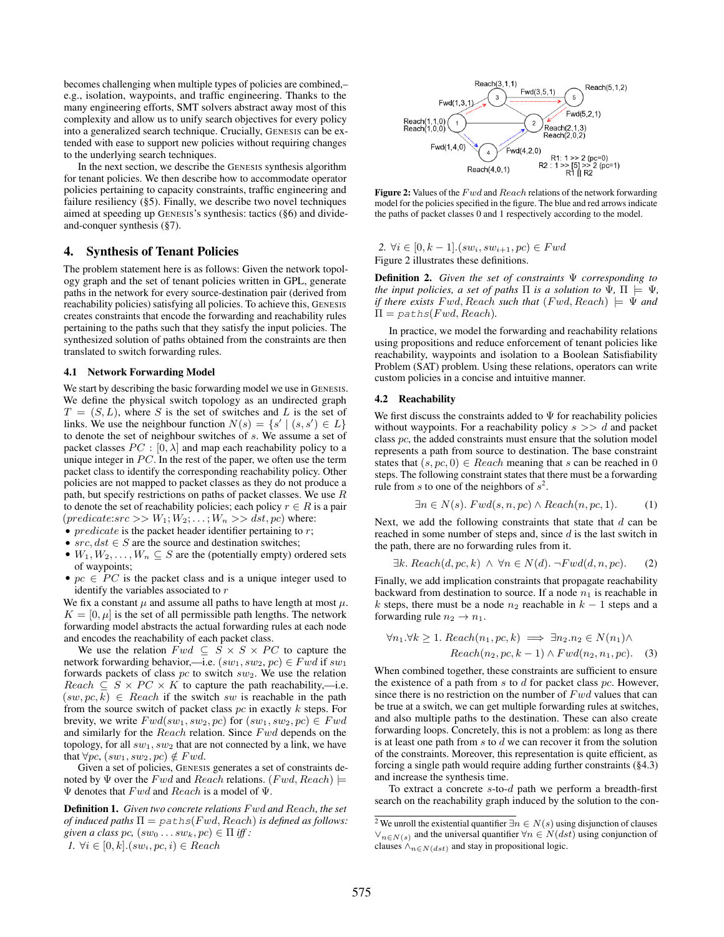becomes challenging when multiple types of policies are combined,e.g., isolation, waypoints, and traffic engineering. Thanks to the many engineering efforts, SMT solvers abstract away most of this complexity and allow us to unify search objectives for every policy into a generalized search technique. Crucially, GENESIS can be extended with ease to support new policies without requiring changes to the underlying search techniques.

In the next section, we describe the GENESIS synthesis algorithm for tenant policies. We then describe how to accommodate operator policies pertaining to capacity constraints, traffic engineering and failure resiliency (§5). Finally, we describe two novel techniques aimed at speeding up GENESIS's synthesis: tactics (§6) and divideand-conquer synthesis (§7).

## 4. Synthesis of Tenant Policies

The problem statement here is as follows: Given the network topology graph and the set of tenant policies written in GPL, generate paths in the network for every source-destination pair (derived from reachability policies) satisfying all policies. To achieve this, GENESIS creates constraints that encode the forwarding and reachability rules pertaining to the paths such that they satisfy the input policies. The synthesized solution of paths obtained from the constraints are then translated to switch forwarding rules.

#### 4.1 Network Forwarding Model

We start by describing the basic forwarding model we use in GENESIS. We define the physical switch topology as an undirected graph  $T = (S, L)$ , where S is the set of switches and L is the set of links. We use the neighbour function  $N(s) = \{s' \mid (s, s') \in L\}$ to denote the set of neighbour switches of s. We assume a set of packet classes  $PC : [0, \lambda]$  and map each reachability policy to a unique integer in  $PC$ . In the rest of the paper, we often use the term packet class to identify the corresponding reachability policy. Other policies are not mapped to packet classes as they do not produce a path, but specify restrictions on paths of packet classes. We use R to denote the set of reachability policies; each policy  $r \in R$  is a pair  $(predicate:src >> W_1; W_2; \ldots; W_n >> dst, pc)$  where:

- $predicate$  is the packet header identifier pertaining to  $r$ ;
- $src, dst \in S$  are the source and destination switches;
- $W_1, W_2, \ldots, W_n \subseteq S$  are the (potentially empty) ordered sets of waypoints;
- $pc \in PC$  is the packet class and is a unique integer used to identify the variables associated to r

We fix a constant  $\mu$  and assume all paths to have length at most  $\mu$ .  $K = [0, \mu]$  is the set of all permissible path lengths. The network forwarding model abstracts the actual forwarding rules at each node and encodes the reachability of each packet class.

We use the relation  $Fwd \subseteq S \times S \times PC$  to capture the network forwarding behavior,—i.e.  $(sw_1, sw_2, pc) \in Fwd$  if  $sw_1$ forwards packets of class  $pc$  to switch  $sw_2$ . We use the relation *Reach*  $\subseteq S \times PC \times K$  to capture the path reachability,—i.e.  $(sw, pc, k) \in *Reach*$  if the switch sw is reachable in the path from the source switch of packet class  $pc$  in exactly k steps. For brevity, we write  $Fwd(sw_1, sw_2, pc)$  for  $(sw_1, sw_2, pc) \in Fwd$ and similarly for the Reach relation. Since F wd depends on the topology, for all  $sw_1, sw_2$  that are not connected by a link, we have that  $\forall pc, (sw_1, sw_2, pc) \notin Fwd$ .

Given a set of policies, GENESIS generates a set of constraints denoted by  $\Psi$  over the Fwd and Reach relations. (Fwd, Reach)  $\models$  $\Psi$  denotes that  $Fwd$  and  $Reach$  is a model of  $\Psi$ .

Definition 1. *Given two concrete relations* F wd *and* Reach*, the set of induced paths*  $\Pi =$   $paths(Fwd,Reach)$  *is defined as follows: given a class pc,*  $(sw_0 \dots sw_k, pc) \in \Pi$  *iff : 1.*  $\forall i \in [0, k] \ldotp (sw_i, pc, i) \in Reach$ 



Figure 2: Values of the  $Fwd$  and  $Reach$  relations of the network forwarding model for the policies specified in the figure. The blue and red arrows indicate the paths of packet classes 0 and 1 respectively according to the model.

*2.* ∀*i* ∈ [0, *k* − 1].(*sw<sub>i</sub>*, *sw<sub>i+1</sub>*, *pc*) ∈ *Fwd* Figure 2 illustrates these definitions.

Definition 2. *Given the set of constraints* Ψ *corresponding to the input policies, a set of paths*  $\Pi$  *is a solution to*  $\Psi$ *,*  $\Pi \models \Psi$ *, if there exists*  $Fwd, Readh$  *such that*  $(Fwd, Readh) \models \Psi$  *and*  $\Pi = paths(Fwd,Reach).$ 

In practice, we model the forwarding and reachability relations using propositions and reduce enforcement of tenant policies like reachability, waypoints and isolation to a Boolean Satisfiability Problem (SAT) problem. Using these relations, operators can write custom policies in a concise and intuitive manner.

#### 4.2 Reachability

We first discuss the constraints added to  $\Psi$  for reachability policies without waypoints. For a reachability policy  $s \gg d$  and packet class pc, the added constraints must ensure that the solution model represents a path from source to destination. The base constraint states that  $(s, pc, 0) \in *Reach*$  meaning that s can be reached in 0 steps. The following constraint states that there must be a forwarding rule from s to one of the neighbors of  $s^2$ .

$$
\exists n \in N(s). \, Fwd(s, n, pc) \land \text{Reach}(n, pc, 1). \tag{1}
$$

Next, we add the following constraints that state that  $d$  can be reached in some number of steps and, since d is the last switch in the path, there are no forwarding rules from it.

$$
\exists k. \, Readh(d, pc, k) \land \forall n \in N(d). \, \neg Fwd(d, n, pc). \tag{2}
$$

Finally, we add implication constraints that propagate reachability backward from destination to source. If a node  $n_1$  is reachable in k steps, there must be a node  $n_2$  reachable in  $k - 1$  steps and a forwarding rule  $n_2 \rightarrow n_1$ .

$$
\forall n_1. \forall k \ge 1. \text{Reach}(n_1, pc, k) \implies \exists n_2. n_2 \in N(n_1) \land
$$

$$
Reach(n_2, pc, k-1) \land Fwd(n_2, n_1, pc). \quad (3)
$$

When combined together, these constraints are sufficient to ensure the existence of a path from  $s$  to  $d$  for packet class  $pc$ . However, since there is no restriction on the number of  $Fwd$  values that can be true at a switch, we can get multiple forwarding rules at switches, and also multiple paths to the destination. These can also create forwarding loops. Concretely, this is not a problem: as long as there is at least one path from  $s$  to  $d$  we can recover it from the solution of the constraints. Moreover, this representation is quite efficient, as forcing a single path would require adding further constraints (§4.3) and increase the synthesis time.

To extract a concrete s-to-d path we perform a breadth-first search on the reachability graph induced by the solution to the con-

<sup>&</sup>lt;sup>2</sup> We unroll the existential quantifier  $\exists n \in N(s)$  using disjunction of clauses  $\vee_{n\in N(s)}$  and the universal quantifier  $\forall n \in N(dst)$  using conjunction of clauses  $\bigwedge_{n\in N(dst)}$  and stay in propositional logic.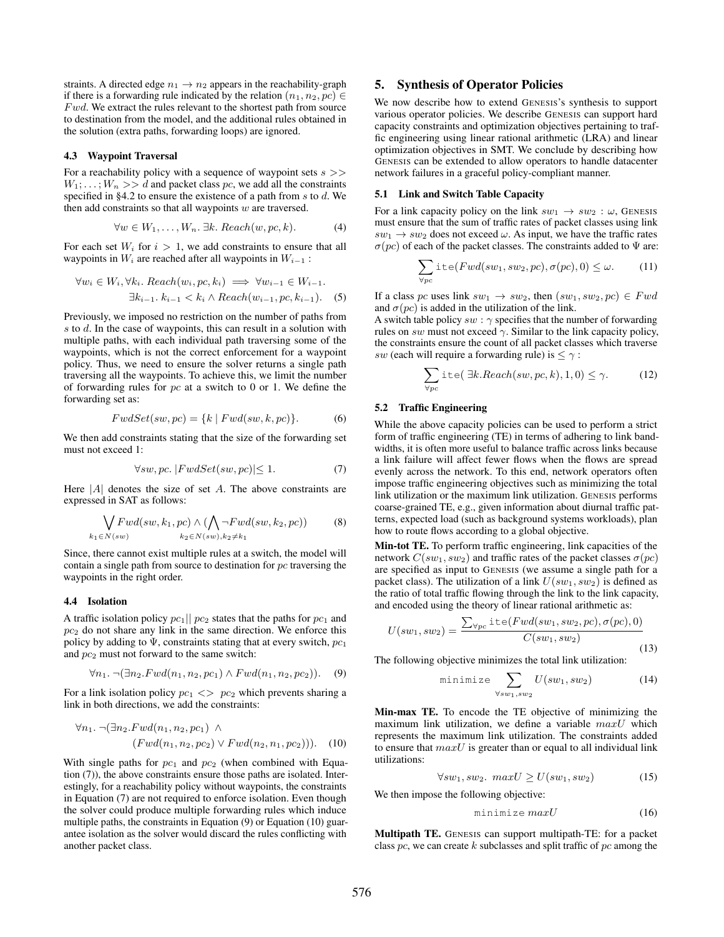straints. A directed edge  $n_1 \rightarrow n_2$  appears in the reachability-graph if there is a forwarding rule indicated by the relation  $(n_1, n_2, pc) \in$  $Fwd$ . We extract the rules relevant to the shortest path from source to destination from the model, and the additional rules obtained in the solution (extra paths, forwarding loops) are ignored.

## 4.3 Waypoint Traversal

For a reachability policy with a sequence of waypoint sets  $s \gg$  $W_1; \ldots; W_n >> d$  and packet class pc, we add all the constraints specified in §4.2 to ensure the existence of a path from s to d. We then add constraints so that all waypoints  $w$  are traversed.

$$
\forall w \in W_1, \dots, W_n. \exists k. \, Reach(w, pc, k). \tag{4}
$$

For each set  $W_i$  for  $i > 1$ , we add constraints to ensure that all waypoints in  $W_i$  are reached after all waypoints in  $W_{i-1}$ :

$$
\forall w_i \in W_i, \forall k_i. \,Reach(w_i, pc, k_i) \implies \forall w_{i-1} \in W_{i-1}.
$$
  

$$
\exists k_{i-1}. \, k_{i-1} < k_i \land \,Reach(w_{i-1}, pc, k_{i-1}). \tag{5}
$$

Previously, we imposed no restriction on the number of paths from s to d. In the case of waypoints, this can result in a solution with multiple paths, with each individual path traversing some of the waypoints, which is not the correct enforcement for a waypoint policy. Thus, we need to ensure the solver returns a single path traversing all the waypoints. To achieve this, we limit the number of forwarding rules for  $pc$  at a switch to 0 or 1. We define the forwarding set as:

$$
FwdSet(sw, pc) = \{k \mid Fwd(sw, k, pc)\}.
$$
 (6)

We then add constraints stating that the size of the forwarding set must not exceed 1:

$$
\forall sw, pc. \, |FwdSet(sw, pc)| \le 1. \tag{7}
$$

Here  $|A|$  denotes the size of set A. The above constraints are expressed in SAT as follows:

$$
\bigvee_{k_1 \in N(sw)} Fwd(sw, k_1, pc) \land (\bigwedge_{k_2 \in N(sw), k_2 \neq k_1} Fwd(sw, k_2, pc)) \tag{8}
$$

Since, there cannot exist multiple rules at a switch, the model will contain a single path from source to destination for pc traversing the waypoints in the right order.

#### 4.4 Isolation

A traffic isolation policy  $pc_1||pc_2$  states that the paths for  $pc_1$  and  $pc<sub>2</sub>$  do not share any link in the same direction. We enforce this policy by adding to  $\Psi$ , constraints stating that at every switch,  $pc_1$ and  $pc<sub>2</sub>$  must not forward to the same switch:

$$
\forall n_1. \neg (\exists n_2. Fwd(n_1, n_2, pc_1) \land Fwd(n_1, n_2, pc_2)).
$$
 (9)

For a link isolation policy  $pc_1 \ll pc_2$  which prevents sharing a link in both directions, we add the constraints:

$$
\forall n_1. \ \neg (\exists n_2. Fwd(n_1, n_2, pc_1) \land (Fwd(n_1, n_2, pc_2) \lor Fwd(n_2, n_1, pc_2))). \tag{10}
$$

With single paths for  $pc_1$  and  $pc_2$  (when combined with Equation (7)), the above constraints ensure those paths are isolated. Interestingly, for a reachability policy without waypoints, the constraints in Equation (7) are not required to enforce isolation. Even though the solver could produce multiple forwarding rules which induce multiple paths, the constraints in Equation (9) or Equation (10) guarantee isolation as the solver would discard the rules conflicting with another packet class.

## 5. Synthesis of Operator Policies

We now describe how to extend GENESIS's synthesis to support various operator policies. We describe GENESIS can support hard capacity constraints and optimization objectives pertaining to traffic engineering using linear rational arithmetic (LRA) and linear optimization objectives in SMT. We conclude by describing how GENESIS can be extended to allow operators to handle datacenter network failures in a graceful policy-compliant manner.

#### 5.1 Link and Switch Table Capacity

For a link capacity policy on the link  $sw_1 \rightarrow sw_2 : \omega$ , GENESIS must ensure that the sum of traffic rates of packet classes using link  $sw_1 \rightarrow sw_2$  does not exceed  $\omega$ . As input, we have the traffic rates  $\sigma (pc)$  of each of the packet classes. The constraints added to  $\Psi$  are:

$$
\sum_{\forall pc} \text{ite}(Fwd(sw_1, sw_2, pc), \sigma(pc), 0) \le \omega. \tag{11}
$$

If a class pc uses link  $sw_1 \rightarrow sw_2$ , then  $(sw_1, sw_2, pc) \in Fwd$ and  $\sigma (pc)$  is added in the utilization of the link.

A switch table policy  $sw : \gamma$  specifies that the number of forwarding rules on sw must not exceed  $\gamma$ . Similar to the link capacity policy, the constraints ensure the count of all packet classes which traverse sw (each will require a forwarding rule) is  $\leq \gamma$ :

$$
\sum_{\forall pc} \text{ite}(\exists k.Reach(sw, pc, k), 1, 0) \le \gamma. \tag{12}
$$

#### 5.2 Traffic Engineering

While the above capacity policies can be used to perform a strict form of traffic engineering (TE) in terms of adhering to link bandwidths, it is often more useful to balance traffic across links because a link failure will affect fewer flows when the flows are spread evenly across the network. To this end, network operators often impose traffic engineering objectives such as minimizing the total link utilization or the maximum link utilization. GENESIS performs coarse-grained TE, e.g., given information about diurnal traffic patterns, expected load (such as background systems workloads), plan how to route flows according to a global objective.

Min-tot TE. To perform traffic engineering, link capacities of the network  $C(sw_1, sw_2)$  and traffic rates of the packet classes  $\sigma(pc)$ are specified as input to GENESIS (we assume a single path for a packet class). The utilization of a link  $U(sw_1, sw_2)$  is defined as the ratio of total traffic flowing through the link to the link capacity, and encoded using the theory of linear rational arithmetic as:

$$
U(sw_1, sw_2) = \frac{\sum_{\forall pc} \text{ite}(Fwd(sw_1, sw_2, pc), \sigma(pc), 0)}{C(sw_1, sw_2)}
$$
\n(13)

The following objective minimizes the total link utilization:

$$
\text{minimize} \sum_{\forall sw_1, sw_2} U(sw_1, sw_2) \tag{14}
$$

Min-max TE. To encode the TE objective of minimizing the maximum link utilization, we define a variable  $maxU$  which represents the maximum link utilization. The constraints added to ensure that  $maxU$  is greater than or equal to all individual link utilizations:

$$
\forall sw_1, sw_2. \ \ maxU \ge U(sw_1, sw_2) \tag{15}
$$

We then impose the following objective:

$$
\text{minimize } maxU \tag{16}
$$

Multipath TE. GENESIS can support multipath-TE: for a packet class  $pc$ , we can create  $k$  subclasses and split traffic of  $pc$  among the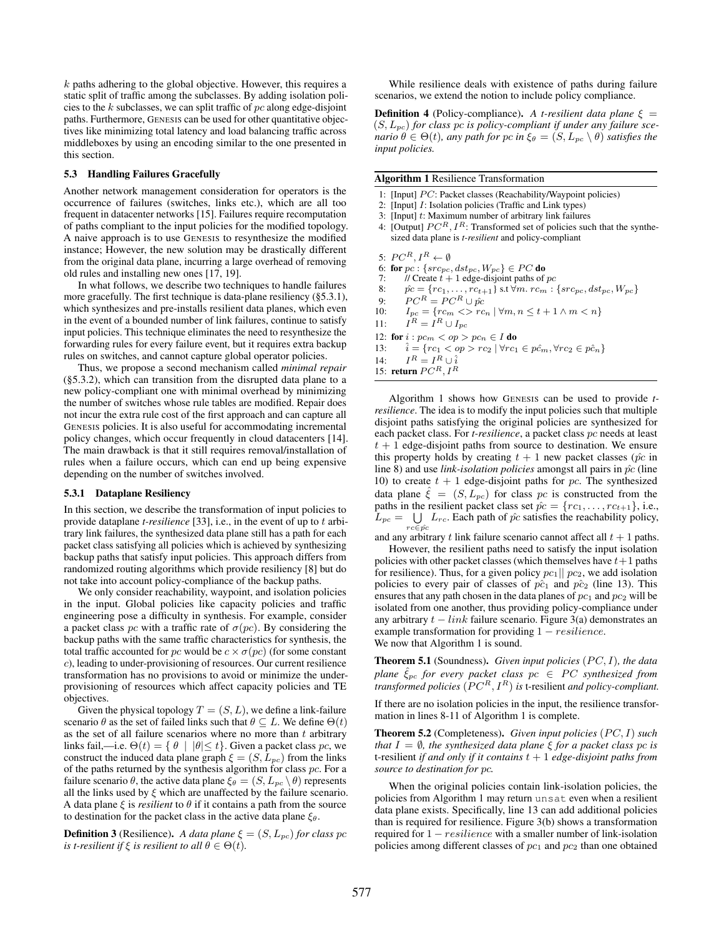k paths adhering to the global objective. However, this requires a static split of traffic among the subclasses. By adding isolation policies to the  $k$  subclasses, we can split traffic of  $pc$  along edge-disjoint paths. Furthermore, GENESIS can be used for other quantitative objectives like minimizing total latency and load balancing traffic across middleboxes by using an encoding similar to the one presented in this section.

#### 5.3 Handling Failures Gracefully

Another network management consideration for operators is the occurrence of failures (switches, links etc.), which are all too frequent in datacenter networks [15]. Failures require recomputation of paths compliant to the input policies for the modified topology. A naive approach is to use GENESIS to resynthesize the modified instance; However, the new solution may be drastically different from the original data plane, incurring a large overhead of removing old rules and installing new ones [17, 19].

In what follows, we describe two techniques to handle failures more gracefully. The first technique is data-plane resiliency (§5.3.1), which synthesizes and pre-installs resilient data planes, which even in the event of a bounded number of link failures, continue to satisfy input policies. This technique eliminates the need to resynthesize the forwarding rules for every failure event, but it requires extra backup rules on switches, and cannot capture global operator policies.

Thus, we propose a second mechanism called *minimal repair* (§5.3.2), which can transition from the disrupted data plane to a new policy-compliant one with minimal overhead by minimizing the number of switches whose rule tables are modified. Repair does not incur the extra rule cost of the first approach and can capture all GENESIS policies. It is also useful for accommodating incremental policy changes, which occur frequently in cloud datacenters [14]. The main drawback is that it still requires removal/installation of rules when a failure occurs, which can end up being expensive depending on the number of switches involved.

#### 5.3.1 Dataplane Resiliency

In this section, we describe the transformation of input policies to provide dataplane *t-resilience* [33], i.e., in the event of up to t arbitrary link failures, the synthesized data plane still has a path for each packet class satisfying all policies which is achieved by synthesizing backup paths that satisfy input policies. This approach differs from randomized routing algorithms which provide resiliency [8] but do not take into account policy-compliance of the backup paths.

We only consider reachability, waypoint, and isolation policies in the input. Global policies like capacity policies and traffic engineering pose a difficulty in synthesis. For example, consider a packet class pc with a traffic rate of  $\sigma (pc)$ . By considering the backup paths with the same traffic characteristics for synthesis, the total traffic accounted for pc would be  $c \times \sigma (pc)$  (for some constant c), leading to under-provisioning of resources. Our current resilience transformation has no provisions to avoid or minimize the underprovisioning of resources which affect capacity policies and TE objectives.

Given the physical topology  $T = (S, L)$ , we define a link-failure scenario  $\theta$  as the set of failed links such that  $\theta \subseteq L$ . We define  $\Theta(t)$ as the set of all failure scenarios where no more than  $t$  arbitrary links fail,—i.e.  $\Theta(t) = \{ \theta \mid |\theta| \leq t \}.$  Given a packet class pc, we construct the induced data plane graph  $\xi = (S, L_{pc})$  from the links of the paths returned by the synthesis algorithm for class  $pc$ . For a failure scenario  $\theta$ , the active data plane  $\xi_{\theta} = (S, L_{pc} \setminus \theta)$  represents all the links used by  $\xi$  which are unaffected by the failure scenario. A data plane  $\xi$  is *resilient* to  $\theta$  if it contains a path from the source to destination for the packet class in the active data plane  $\xi_{\theta}$ .

**Definition 3** (Resilience). *A data plane*  $\xi = (S, L_{pc})$  *for class pc is t-resilient if*  $\xi$  *is resilient to all*  $\theta \in \Theta(t)$ *.* 

While resilience deals with existence of paths during failure scenarios, we extend the notion to include policy compliance.

**Definition 4** (Policy-compliance). *A t-resilient data plane*  $\xi$  = (S, Lpc) *for class* pc *is policy-compliant if under any failure scenario*  $\theta \in \Theta(t)$ *, any path for pc in*  $\xi_{\theta} = (S, L_{pc} \setminus \theta)$  *satisfies the input policies.*

Algorithm 1 Resilience Transformation

- 1: [Input] PC: Packet classes (Reachability/Waypoint policies)
- 2: [Input] I: Isolation policies (Traffic and Link types)
- 3: [Input]  $t$ : Maximum number of arbitrary link failures
- 4: [Output]  $PC^R$ ,  $I^R$ : Transformed set of policies such that the synthesized data plane is *t-resilient* and policy-compliant
- 5:  $PC^R, I^R \leftarrow \emptyset$
- 6: for  $pc: \{src_{pc}, dst_{pc}, W_{pc}\} \in PC$  do
- 7: // Create  $t + 1$  edge-disjoint paths of  $pc$
- 8:  $\hat{pc} = \{rc_1, \ldots, rc_{t+1}\}\text{ s.t } \forall m. rc_m: \{src_{pc}, dst_{pc}, W_{pc}\}$
- 9:  $PC^R = PC^R \cup \hat{pc}$ <br>10:  $I_{pc} = \{rc_m \leq r c_r\}$

10:  $I_{pc} = \{rc_m \ll r c_n \mid \forall m, n \leq t + 1 \land m \lt n\}$ 

 $11:$  $R = I^R \cup I_{pc}$ 

12: for  $i : pc_m < op > pc_n \in I$  do

13:  $\hat{i} = \{rc_1 < op > rc_2 \mid \forall rc_1 \in p\hat{c}_m, \forall rc_2 \in p\hat{c}_n\}$ 

14:  $I^R = I^R \cup i$ <br>15: **return**  $PC^R$ ,  $I^R$  $R = I^R \cup \hat{i}$ 

Algorithm 1 shows how GENESIS can be used to provide *tresilience*. The idea is to modify the input policies such that multiple disjoint paths satisfying the original policies are synthesized for each packet class. For *t-resilience*, a packet class pc needs at least  $t + 1$  edge-disjoint paths from source to destination. We ensure this property holds by creating  $t + 1$  new packet classes ( $\hat{p}c$  in line 8) and use *link-isolation policies* amongst all pairs in  $\hat{pc}$  (line 10) to create  $t + 1$  edge-disjoint paths for pc. The synthesized data plane  $\hat{\xi} = (S, L_{pc})$  for class pc is constructed from the paths in the resilient packet class set  $\hat{p}c = \{rc_1, \ldots, rc_{t+1}\}\$ , i.e.,  $L_{pc} = \bigcup L_{rc}$ . Each path of  $\hat{pc}$  satisfies the reachability policy,  $rc \in \hat{pc}$ 

and any arbitrary t link failure scenario cannot affect all  $t + 1$  paths.

However, the resilient paths need to satisfy the input isolation policies with other packet classes (which themselves have  $t+1$  paths for resilience). Thus, for a given policy  $pc_1 || pc_2$ , we add isolation policies to every pair of classes of  $\hat{pc}_1$  and  $\hat{pc}_2$  (line 13). This ensures that any path chosen in the data planes of  $pc<sub>1</sub>$  and  $pc<sub>2</sub>$  will be isolated from one another, thus providing policy-compliance under any arbitrary  $t - link$  failure scenario. Figure 3(a) demonstrates an example transformation for providing  $1 - residue$ .

We now that Algorithm 1 is sound.

**Theorem 5.1** (Soundness). *Given input policies*  $(PC, I)$ *, the data plane*  $\xi_{pc}$  *for every packet class pc*  $\in$  *PC synthesized from transformed policies*  $(PC^R, I^R)$  *is* t-resilient *and policy-compliant.* 

If there are no isolation policies in the input, the resilience transformation in lines 8-11 of Algorithm 1 is complete.

**Theorem 5.2** (Completeness). *Given input policies* (*PC, I*) *such that*  $I = \emptyset$ *, the synthesized data plane*  $\xi$  *for a packet class pc is* t-resilient *if and only if it contains* t + 1 *edge-disjoint paths from source to destination for* pc*.*

When the original policies contain link-isolation policies, the policies from Algorithm 1 may return unsat even when a resilient data plane exists. Specifically, line 13 can add additional policies than is required for resilience. Figure 3(b) shows a transformation required for 1 − resilience with a smaller number of link-isolation policies among different classes of  $pc<sub>1</sub>$  and  $pc<sub>2</sub>$  than one obtained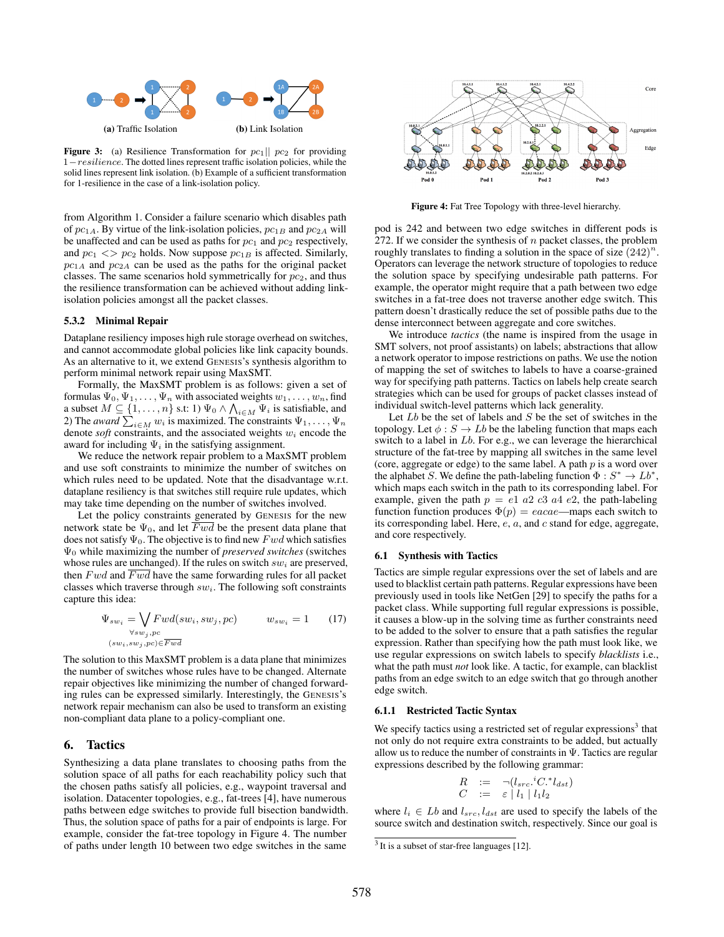

Figure 3: (a) Resilience Transformation for  $pc_1||pc_2$  for providing 1−resilience. The dotted lines represent traffic isolation policies, while the solid lines represent link isolation. (b) Example of a sufficient transformation for 1-resilience in the case of a link-isolation policy.

from Algorithm 1. Consider a failure scenario which disables path of  $pc_{1A}$ . By virtue of the link-isolation policies,  $pc_{1B}$  and  $pc_{2A}$  will be unaffected and can be used as paths for  $pc_1$  and  $pc_2$  respectively, and  $pc_1 \ll pc_2$  holds. Now suppose  $pc_{1B}$  is affected. Similarly,  $pc<sub>1A</sub>$  and  $pc<sub>2A</sub>$  can be used as the paths for the original packet classes. The same scenarios hold symmetrically for  $pc<sub>2</sub>$ , and thus the resilience transformation can be achieved without adding linkisolation policies amongst all the packet classes.

#### 5.3.2 Minimal Repair

Dataplane resiliency imposes high rule storage overhead on switches, and cannot accommodate global policies like link capacity bounds. As an alternative to it, we extend GENESIS's synthesis algorithm to perform minimal network repair using MaxSMT.

Formally, the MaxSMT problem is as follows: given a set of formulas  $\Psi_0, \Psi_1, \ldots, \Psi_n$  with associated weights  $w_1, \ldots, w_n$ , find a subset  $M \subseteq \{1, \ldots, n\}$  s.t: 1)  $\Psi_0 \wedge \bigwedge_{i \in M} \Psi_i$  is satisfiable, and 2) The *award*  $\sum_{i \in M} w_i$  is maximized. The constraints  $\Psi_1, \ldots, \Psi_n$ denote *soft* constraints, and the associated weights  $w_i$  encode the award for including  $\Psi_i$  in the satisfying assignment.

We reduce the network repair problem to a MaxSMT problem and use soft constraints to minimize the number of switches on which rules need to be updated. Note that the disadvantage w.r.t. dataplane resiliency is that switches still require rule updates, which may take time depending on the number of switches involved.

Let the policy constraints generated by GENESIS for the new network state be  $\Psi_0$ , and let  $\overline{Fwd}$  be the present data plane that does not satisfy  $\Psi_0$ . The objective is to find new  $Fwd$  which satisfies Ψ<sup>0</sup> while maximizing the number of *preserved switches* (switches whose rules are unchanged). If the rules on switch  $sw_i$  are preserved, then  $Fwd$  and  $Fwd$  have the same forwarding rules for all packet classes which traverse through  $sw_i$ . The following soft constraints capture this idea:

$$
\Psi_{sw_i} = \bigvee_{\forall sw_j, pc} Fwd(sw_i, sw_j, pc) \qquad w_{sw_i} = 1 \qquad (17)
$$
\n
$$
w_{sw_j, pc} = \overline{Fwd}
$$

The solution to this MaxSMT problem is a data plane that minimizes the number of switches whose rules have to be changed. Alternate repair objectives like minimizing the number of changed forwarding rules can be expressed similarly. Interestingly, the GENESIS's network repair mechanism can also be used to transform an existing non-compliant data plane to a policy-compliant one.

## 6. Tactics

Synthesizing a data plane translates to choosing paths from the solution space of all paths for each reachability policy such that the chosen paths satisfy all policies, e.g., waypoint traversal and isolation. Datacenter topologies, e.g., fat-trees [4], have numerous paths between edge switches to provide full bisection bandwidth. Thus, the solution space of paths for a pair of endpoints is large. For example, consider the fat-tree topology in Figure 4. The number of paths under length 10 between two edge switches in the same



Figure 4: Fat Tree Topology with three-level hierarchy.

pod is 242 and between two edge switches in different pods is 272. If we consider the synthesis of  $n$  packet classes, the problem roughly translates to finding a solution in the space of size  $(242)^n$ . Operators can leverage the network structure of topologies to reduce the solution space by specifying undesirable path patterns. For example, the operator might require that a path between two edge switches in a fat-tree does not traverse another edge switch. This pattern doesn't drastically reduce the set of possible paths due to the dense interconnect between aggregate and core switches.

We introduce *tactics* (the name is inspired from the usage in SMT solvers, not proof assistants) on labels; abstractions that allow a network operator to impose restrictions on paths. We use the notion of mapping the set of switches to labels to have a coarse-grained way for specifying path patterns. Tactics on labels help create search strategies which can be used for groups of packet classes instead of individual switch-level patterns which lack generality.

Let  $Lb$  be the set of labels and  $S$  be the set of switches in the topology. Let  $\phi : S \to Lb$  be the labeling function that maps each switch to a label in Lb. For e.g., we can leverage the hierarchical structure of the fat-tree by mapping all switches in the same level (core, aggregate or edge) to the same label. A path  $p$  is a word over the alphabet S. We define the path-labeling function  $\Phi: S^* \to Lb^*$ , which maps each switch in the path to its corresponding label. For example, given the path  $p = e1$  a2 c3 a4 e2, the path-labeling function function produces  $\Phi(p) = eacae$ —maps each switch to its corresponding label. Here,  $e$ ,  $a$ , and  $c$  stand for edge, aggregate, and core respectively.

#### 6.1 Synthesis with Tactics

Tactics are simple regular expressions over the set of labels and are used to blacklist certain path patterns. Regular expressions have been previously used in tools like NetGen [29] to specify the paths for a packet class. While supporting full regular expressions is possible, it causes a blow-up in the solving time as further constraints need to be added to the solver to ensure that a path satisfies the regular expression. Rather than specifying how the path must look like, we use regular expressions on switch labels to specify *blacklists* i.e., what the path must *not* look like. A tactic, for example, can blacklist paths from an edge switch to an edge switch that go through another edge switch.

#### 6.1.1 Restricted Tactic Syntax

We specify tactics using a restricted set of regular expressions<sup>3</sup> that not only do not require extra constraints to be added, but actually allow us to reduce the number of constraints in  $\Psi$ . Tactics are regular expressions described by the following grammar:

$$
\begin{array}{rcl}\nR & := & \neg(l_{src}.{}^{i}C.^{*}l_{dst}) \\
C & := & \varepsilon \mid l_1 \mid l_1 l_2\n\end{array}
$$

where  $l_i \in Lb$  and  $l_{src}$ ,  $l_{dst}$  are used to specify the labels of the source switch and destination switch, respectively. Since our goal is

<sup>&</sup>lt;sup>3</sup> It is a subset of star-free languages [12].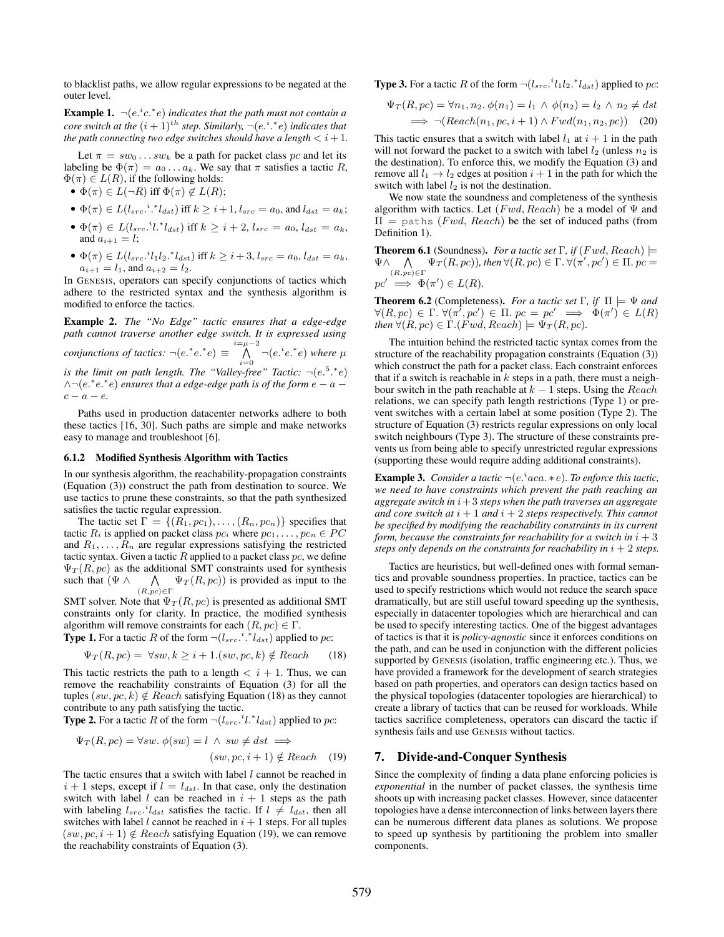to blacklist paths, we allow regular expressions to be negated at the outer level.

**Example 1.**  $\neg(e^{\cdot i}c^*e)$  *indicates that the path must not contain a core switch at the*  $(i + 1)$ <sup>th</sup> *step. Similarly,*  $\neg(e^{i} \cdot e^{i})$  *indicates that the path connecting two edge switches should have a length*  $\lt i+1$ *.* 

Let  $\pi = sw_0 \dots sw_k$  be a path for packet class pc and let its labeling be  $\Phi(\pi) = a_0 \dots a_k$ . We say that  $\pi$  satisfies a tactic R,  $\Phi(\pi) \in L(R)$ , if the following holds:

• 
$$
\Phi(\pi) \in L(\neg R)
$$
 iff  $\Phi(\pi) \notin L(R)$ ;

- $\Phi(\pi) \in L(l_{src}.^{i.*}l_{dst})$  iff  $k \geq i+1$ ,  $l_{src} = a_0$ , and  $l_{dst} = a_k$ ;
- $\Phi(\pi) \in L(l_{src}.^{i}l_{dst})$  iff  $k \geq i+2$ ,  $l_{src} = a_0$ ,  $l_{dst} = a_k$ , and  $a_{i+1} = l$ ;
- $\Phi(\pi) \in L(l_{src}.^{\{i\}}l_1l_2.^{\ast}l_{dst})$  iff  $k \geq i+3$ ,  $l_{src} = a_0$ ,  $l_{dst} = a_k$ ,  $a_{i+1} = l_1$ , and  $a_{i+2} = l_2$ .

In GENESIS, operators can specify conjunctions of tactics which adhere to the restricted syntax and the synthesis algorithm is modified to enforce the tactics.

Example 2. *The "No Edge" tactic ensures that a edge-edge path cannot traverse another edge switch. It is expressed using conjunctions of tactics:*  $\neg(e^*e^*e) \equiv \bigwedge_{i=0}^{i=\mu-2} \neg(e^i e^*e)$  *where*  $\mu$ is the limit on path length. The "Valley-free" Tactic:  $\neg(e^{.5}.^*e)$ ∧¬(e.\*e.\*e) ensures that a edge-edge path is of the form  $\stackrel{\sim}{e}$  - a  $c - a - e$ .

Paths used in production datacenter networks adhere to both these tactics [16, 30]. Such paths are simple and make networks easy to manage and troubleshoot [6].

#### 6.1.2 Modified Synthesis Algorithm with Tactics

In our synthesis algorithm, the reachability-propagation constraints (Equation (3)) construct the path from destination to source. We use tactics to prune these constraints, so that the path synthesized satisfies the tactic regular expression.

The tactic set  $\Gamma = \{(R_1, pc_1), \ldots, (R_n, pc_n)\}\$  specifies that tactic  $R_i$  is applied on packet class  $pc_i$  where  $pc_1, \ldots, pc_n \in PC$ and  $R_1, \ldots, R_n$  are regular expressions satisfying the restricted tactic syntax. Given a tactic  $R$  applied to a packet class  $pc$ , we define  $\Psi_T(R, pc)$  as the additional SMT constraints used for synthesis such that ( $\Psi \wedge$  $\wedge$  $(R, pc) \in Γ$  $\Psi_T(R, pc)$ ) is provided as input to the

SMT solver. Note that  $\Psi_T(R, pc)$  is presented as additional SMT constraints only for clarity. In practice, the modified synthesis algorithm will remove constraints for each  $(R, pc) \in \Gamma$ .

**Type 1.** For a tactic R of the form  $\neg (l_{src}.<sup>i</sup> * l_{dst})$  applied to pc:

$$
\Psi_T(R, pc) = \forall sw, k \ge i + 1. (sw, pc, k) \notin Reach \qquad (18)
$$

This tactic restricts the path to a length  $\langle i+1$ . Thus, we can remove the reachability constraints of Equation (3) for all the tuples  $(sw, pc, k) \notin Reach$  satisfying Equation (18) as they cannot contribute to any path satisfying the tactic.

**Type 2.** For a tactic R of the form  $\neg (l_{src}.^i l.^* l_{dst})$  applied to pc:

$$
\Psi_T(R, pc) = \forall sw. \ \phi(sw) = l \ \land \ sw \neq dst \implies
$$

$$
(sw, pc, i + 1) \notin Reach \quad (19)
$$

The tactic ensures that a switch with label  $l$  cannot be reached in  $i + 1$  steps, except if  $l = l_{dst}$ . In that case, only the destination switch with label l can be reached in  $i + 1$  steps as the path with labeling  $l_{src}.^{\dagger}l_{dst}$  satisfies the tactic. If  $l \neq l_{dst}$ , then all switches with label *l* cannot be reached in  $i + 1$  steps. For all tuples  $(sw, pc, i + 1) \notin Reach$  satisfying Equation (19), we can remove the reachability constraints of Equation (3).

**Type 3.** For a tactic R of the form  $\neg (l_{src}.<sup>i</sup> l_1 l_2.*l_{dst})$  applied to pc:

$$
\Psi_T(R, pc) = \forall n_1, n_2. \phi(n_1) = l_1 \land \phi(n_2) = l_2 \land n_2 \neq \text{dst}
$$
  
\n
$$
\implies \neg (Reach(n_1, pc, i+1) \land Fwd(n_1, n_2, pc)) \quad (20)
$$

This tactic ensures that a switch with label  $l_1$  at  $i + 1$  in the path will not forward the packet to a switch with label  $l_2$  (unless  $n_2$  is the destination). To enforce this, we modify the Equation (3) and remove all  $l_1 \rightarrow l_2$  edges at position  $i + 1$  in the path for which the switch with label  $l_2$  is not the destination.

We now state the soundness and completeness of the synthesis algorithm with tactics. Let  $(Fwd,Reach)$  be a model of  $\Psi$  and  $\Pi =$  paths (*Fwd*, *Reach*) be the set of induced paths (from Definition 1).

**Theorem 6.1** (Soundness). *For a tactic set*  $\Gamma$ *, if*  $(Fwd,Reach)$  $\models$  $\Psi \wedge \bigwedge_{(R,p_c)\in \Gamma} \Psi_T(R,pc)$ )*, then*  $\forall (R,pc) \in \Gamma$ .  $\forall (\pi',pc') \in \Pi$ .  $pc =$  $pc' \implies \Phi(\pi') \in L(R)$ .

**Theorem 6.2** (Completeness). *For a tactic set*  $\Gamma$ *, if*  $\Pi \models \Psi$  *and*  $\forall (R, pc) \in \Gamma$ .  $\forall (\pi^7, pc') \in \Pi$ .  $pc = pc' \implies \Phi(\pi') \in L(R)$ *then*  $\forall (R, pc) \in \Gamma$ .(*Fwd, Reach*)  $\models \Psi_T(R, pc)$ *.* 

The intuition behind the restricted tactic syntax comes from the structure of the reachability propagation constraints (Equation (3)) which construct the path for a packet class. Each constraint enforces that if a switch is reachable in  $k$  steps in a path, there must a neighbour switch in the path reachable at  $k - 1$  steps. Using the  $Reach$ relations, we can specify path length restrictions (Type 1) or prevent switches with a certain label at some position (Type 2). The structure of Equation (3) restricts regular expressions on only local switch neighbours (Type 3). The structure of these constraints prevents us from being able to specify unrestricted regular expressions (supporting these would require adding additional constraints).

**Example 3.** *Consider a tactic*  $\neg(e^i aca.*e)$ *. To enforce this tactic, we need to have constraints which prevent the path reaching an aggregate switch in*  $i+3$  *steps when the path traverses an aggregate and core switch at*  $i + 1$  *and*  $i + 2$  *steps respectively. This cannot be specified by modifying the reachability constraints in its current form, because the constraints for reachability for a switch in*  $i + 3$ *steps only depends on the constraints for reachability in*  $i + 2$  *steps.* 

Tactics are heuristics, but well-defined ones with formal semantics and provable soundness properties. In practice, tactics can be used to specify restrictions which would not reduce the search space dramatically, but are still useful toward speeding up the synthesis, especially in datacenter topologies which are hierarchical and can be used to specify interesting tactics. One of the biggest advantages of tactics is that it is *policy-agnostic* since it enforces conditions on the path, and can be used in conjunction with the different policies supported by GENESIS (isolation, traffic engineering etc.). Thus, we have provided a framework for the development of search strategies based on path properties, and operators can design tactics based on the physical topologies (datacenter topologies are hierarchical) to create a library of tactics that can be reused for workloads. While tactics sacrifice completeness, operators can discard the tactic if synthesis fails and use GENESIS without tactics.

#### 7. Divide-and-Conquer Synthesis

Since the complexity of finding a data plane enforcing policies is *exponential* in the number of packet classes, the synthesis time shoots up with increasing packet classes. However, since datacenter topologies have a dense interconnection of links between layers there can be numerous different data planes as solutions. We propose to speed up synthesis by partitioning the problem into smaller components.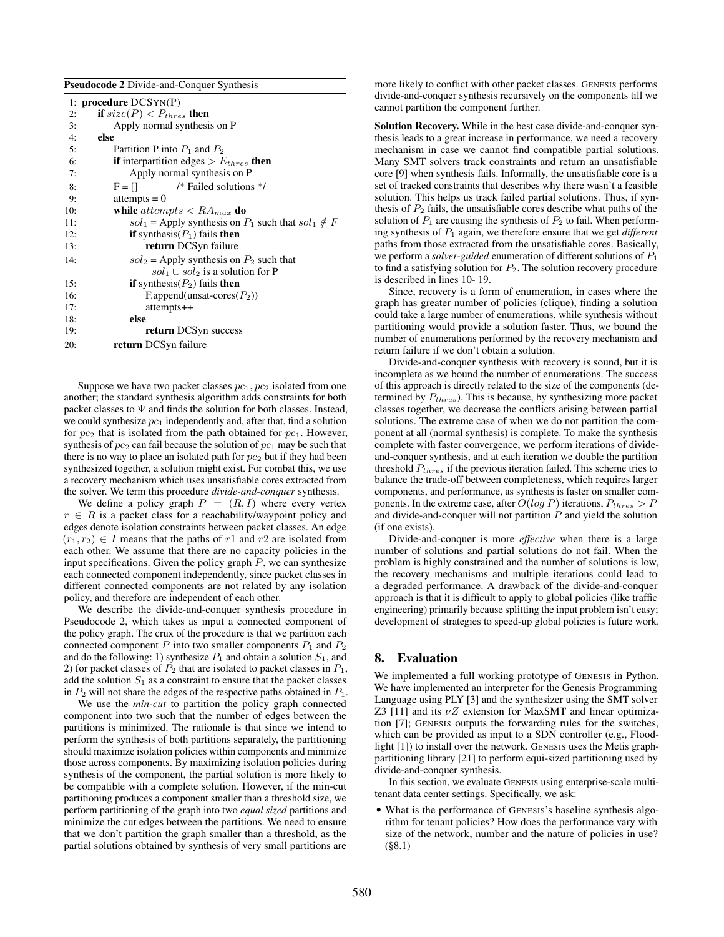|     | <b>Pseudocode 2</b> Divide-and-Conquer Synthesis                    |  |  |  |  |  |
|-----|---------------------------------------------------------------------|--|--|--|--|--|
|     | 1: <b>procedure</b> $DCSYN(P)$                                      |  |  |  |  |  |
| 2:  | if $size(P) < P_{thres}$ then                                       |  |  |  |  |  |
| 3:  | Apply normal synthesis on P                                         |  |  |  |  |  |
| 4:  | else                                                                |  |  |  |  |  |
| 5:  | Partition P into $P_1$ and $P_2$                                    |  |  |  |  |  |
| 6:  | <b>if</b> interpartition edges $>Ethres$ then                       |  |  |  |  |  |
| 7:  | Apply normal synthesis on P                                         |  |  |  |  |  |
| 8:  | /* Failed solutions */<br>$F = \prod$                               |  |  |  |  |  |
| 9:  | attempts = $0$                                                      |  |  |  |  |  |
| 10: | while attempts $\lt R A_{max}$ do                                   |  |  |  |  |  |
| 11: | $sol_1$ = Apply synthesis on $P_1$ such that $sol_1 \notin F$       |  |  |  |  |  |
| 12: | <b>if</b> synthesis( $P_1$ ) fails <b>then</b>                      |  |  |  |  |  |
| 13: | return DCSyn failure                                                |  |  |  |  |  |
| 14: | $\langle sol_2 = \text{Apply synthesis on } P_2 \text{ such that }$ |  |  |  |  |  |
|     | $sol_1 \cup sol_2$ is a solution for P                              |  |  |  |  |  |
| 15: | <b>if</b> synthesis( $P_2$ ) fails <b>then</b>                      |  |  |  |  |  |
| 16: | $F.append(unsat-cores(P_2))$                                        |  |  |  |  |  |
| 17: | attempts++                                                          |  |  |  |  |  |
| 18: | else                                                                |  |  |  |  |  |
| 19: | return DCSyn success                                                |  |  |  |  |  |
| 20: | return DCSyn failure                                                |  |  |  |  |  |

Suppose we have two packet classes  $pc_1$ ,  $pc_2$  isolated from one another; the standard synthesis algorithm adds constraints for both packet classes to  $\Psi$  and finds the solution for both classes. Instead, we could synthesize  $pc_1$  independently and, after that, find a solution for  $pc<sub>2</sub>$  that is isolated from the path obtained for  $pc<sub>1</sub>$ . However, synthesis of  $pc_2$  can fail because the solution of  $pc_1$  may be such that there is no way to place an isolated path for  $pc<sub>2</sub>$  but if they had been synthesized together, a solution might exist. For combat this, we use a recovery mechanism which uses unsatisfiable cores extracted from the solver. We term this procedure *divide-and-conquer* synthesis.

We define a policy graph  $P = (R, I)$  where every vertex  $r \in R$  is a packet class for a reachability/waypoint policy and edges denote isolation constraints between packet classes. An edge  $(r_1, r_2) \in I$  means that the paths of r1 and r2 are isolated from each other. We assume that there are no capacity policies in the input specifications. Given the policy graph  $P$ , we can synthesize each connected component independently, since packet classes in different connected components are not related by any isolation policy, and therefore are independent of each other.

We describe the divide-and-conquer synthesis procedure in Pseudocode 2, which takes as input a connected component of the policy graph. The crux of the procedure is that we partition each connected component  $P$  into two smaller components  $P_1$  and  $P_2$ and do the following: 1) synthesize  $P_1$  and obtain a solution  $S_1$ , and 2) for packet classes of  $P_2$  that are isolated to packet classes in  $P_1$ , add the solution  $S_1$  as a constraint to ensure that the packet classes in  $P_2$  will not share the edges of the respective paths obtained in  $P_1$ .

We use the *min-cut* to partition the policy graph connected component into two such that the number of edges between the partitions is minimized. The rationale is that since we intend to perform the synthesis of both partitions separately, the partitioning should maximize isolation policies within components and minimize those across components. By maximizing isolation policies during synthesis of the component, the partial solution is more likely to be compatible with a complete solution. However, if the min-cut partitioning produces a component smaller than a threshold size, we perform partitioning of the graph into two *equal sized* partitions and minimize the cut edges between the partitions. We need to ensure that we don't partition the graph smaller than a threshold, as the partial solutions obtained by synthesis of very small partitions are

more likely to conflict with other packet classes. GENESIS performs divide-and-conquer synthesis recursively on the components till we cannot partition the component further.

Solution Recovery. While in the best case divide-and-conquer synthesis leads to a great increase in performance, we need a recovery mechanism in case we cannot find compatible partial solutions. Many SMT solvers track constraints and return an unsatisfiable core [9] when synthesis fails. Informally, the unsatisfiable core is a set of tracked constraints that describes why there wasn't a feasible solution. This helps us track failed partial solutions. Thus, if synthesis of  $P_2$  fails, the unsatisfiable cores describe what paths of the solution of  $P_1$  are causing the synthesis of  $P_2$  to fail. When performing synthesis of P<sup>1</sup> again, we therefore ensure that we get *different* paths from those extracted from the unsatisfiable cores. Basically, we perform a *solver-guided* enumeration of different solutions of  $P_1$ to find a satisfying solution for  $P_2$ . The solution recovery procedure is described in lines 10- 19.

Since, recovery is a form of enumeration, in cases where the graph has greater number of policies (clique), finding a solution could take a large number of enumerations, while synthesis without partitioning would provide a solution faster. Thus, we bound the number of enumerations performed by the recovery mechanism and return failure if we don't obtain a solution.

Divide-and-conquer synthesis with recovery is sound, but it is incomplete as we bound the number of enumerations. The success of this approach is directly related to the size of the components (determined by  $P_{thres}$ ). This is because, by synthesizing more packet classes together, we decrease the conflicts arising between partial solutions. The extreme case of when we do not partition the component at all (normal synthesis) is complete. To make the synthesis complete with faster convergence, we perform iterations of divideand-conquer synthesis, and at each iteration we double the partition threshold  $P_{thres}$  if the previous iteration failed. This scheme tries to balance the trade-off between completeness, which requires larger components, and performance, as synthesis is faster on smaller components. In the extreme case, after  $O(log P)$  iterations,  $P_{thres} > P$ and divide-and-conquer will not partition  $P$  and yield the solution (if one exists).

Divide-and-conquer is more *effective* when there is a large number of solutions and partial solutions do not fail. When the problem is highly constrained and the number of solutions is low, the recovery mechanisms and multiple iterations could lead to a degraded performance. A drawback of the divide-and-conquer approach is that it is difficult to apply to global policies (like traffic engineering) primarily because splitting the input problem isn't easy; development of strategies to speed-up global policies is future work.

## 8. Evaluation

We implemented a full working prototype of GENESIS in Python. We have implemented an interpreter for the Genesis Programming Language using PLY [3] and the synthesizer using the SMT solver Z3 [11] and its  $\nu Z$  extension for MaxSMT and linear optimization [7]; GENESIS outputs the forwarding rules for the switches, which can be provided as input to a SDN controller (e.g., Floodlight [1]) to install over the network. GENESIS uses the Metis graphpartitioning library [21] to perform equi-sized partitioning used by divide-and-conquer synthesis.

In this section, we evaluate GENESIS using enterprise-scale multitenant data center settings. Specifically, we ask:

• What is the performance of GENESIS's baseline synthesis algorithm for tenant policies? How does the performance vary with size of the network, number and the nature of policies in use? (§8.1)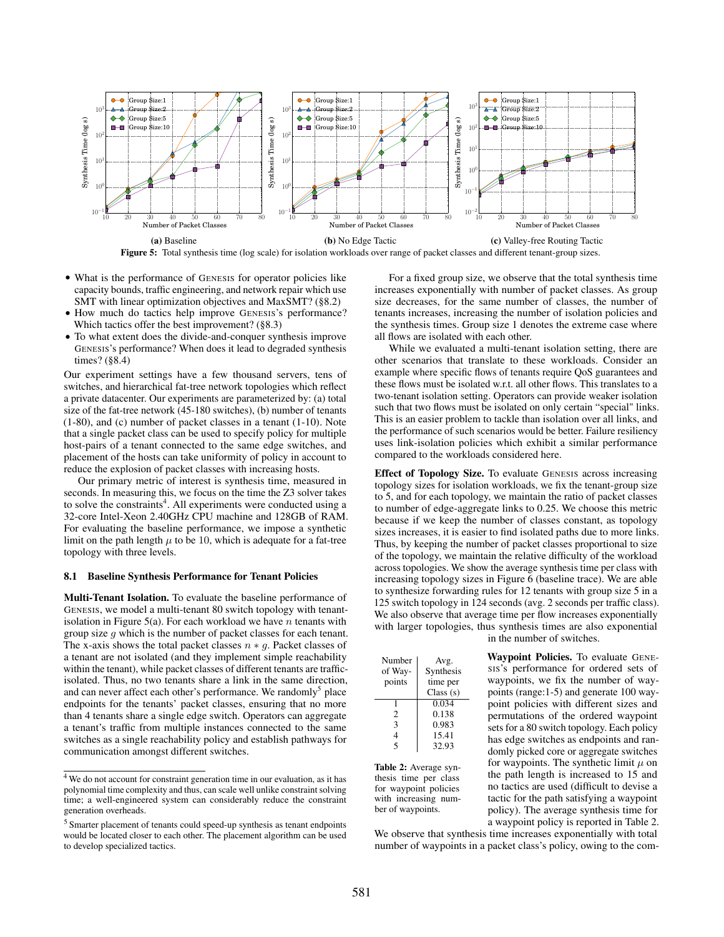

- What is the performance of GENESIS for operator policies like capacity bounds, traffic engineering, and network repair which use SMT with linear optimization objectives and MaxSMT? (§8.2)
- How much do tactics help improve GENESIS's performance? Which tactics offer the best improvement? (§8.3)
- To what extent does the divide-and-conquer synthesis improve GENESIS's performance? When does it lead to degraded synthesis times? (§8.4)

Our experiment settings have a few thousand servers, tens of switches, and hierarchical fat-tree network topologies which reflect a private datacenter. Our experiments are parameterized by: (a) total size of the fat-tree network (45-180 switches), (b) number of tenants (1-80), and (c) number of packet classes in a tenant (1-10). Note that a single packet class can be used to specify policy for multiple host-pairs of a tenant connected to the same edge switches, and placement of the hosts can take uniformity of policy in account to reduce the explosion of packet classes with increasing hosts.

Our primary metric of interest is synthesis time, measured in seconds. In measuring this, we focus on the time the Z3 solver takes to solve the constraints<sup>4</sup>. All experiments were conducted using a 32-core Intel-Xeon 2.40GHz CPU machine and 128GB of RAM. For evaluating the baseline performance, we impose a synthetic limit on the path length  $\mu$  to be 10, which is adequate for a fat-tree topology with three levels.

#### 8.1 Baseline Synthesis Performance for Tenant Policies

Multi-Tenant Isolation. To evaluate the baseline performance of GENESIS, we model a multi-tenant 80 switch topology with tenantisolation in Figure 5(a). For each workload we have  $n$  tenants with group size g which is the number of packet classes for each tenant. The x-axis shows the total packet classes  $n * g$ . Packet classes of a tenant are not isolated (and they implement simple reachability within the tenant), while packet classes of different tenants are trafficisolated. Thus, no two tenants share a link in the same direction, and can never affect each other's performance. We randomly<sup>5</sup> place endpoints for the tenants' packet classes, ensuring that no more than 4 tenants share a single edge switch. Operators can aggregate a tenant's traffic from multiple instances connected to the same switches as a single reachability policy and establish pathways for communication amongst different switches.

For a fixed group size, we observe that the total synthesis time increases exponentially with number of packet classes. As group size decreases, for the same number of classes, the number of tenants increases, increasing the number of isolation policies and the synthesis times. Group size 1 denotes the extreme case where all flows are isolated with each other.

While we evaluated a multi-tenant isolation setting, there are other scenarios that translate to these workloads. Consider an example where specific flows of tenants require QoS guarantees and these flows must be isolated w.r.t. all other flows. This translates to a two-tenant isolation setting. Operators can provide weaker isolation such that two flows must be isolated on only certain "special" links. This is an easier problem to tackle than isolation over all links, and the performance of such scenarios would be better. Failure resiliency uses link-isolation policies which exhibit a similar performance compared to the workloads considered here.

Effect of Topology Size. To evaluate GENESIS across increasing topology sizes for isolation workloads, we fix the tenant-group size to 5, and for each topology, we maintain the ratio of packet classes to number of edge-aggregate links to 0.25. We choose this metric because if we keep the number of classes constant, as topology sizes increases, it is easier to find isolated paths due to more links. Thus, by keeping the number of packet classes proportional to size of the topology, we maintain the relative difficulty of the workload across topologies. We show the average synthesis time per class with increasing topology sizes in Figure 6 (baseline trace). We are able to synthesize forwarding rules for 12 tenants with group size 5 in a 125 switch topology in 124 seconds (avg. 2 seconds per traffic class). We also observe that average time per flow increases exponentially with larger topologies, thus synthesis times are also exponential

| Number<br>of Way- | Avg.<br>Synthesis |
|-------------------|-------------------|
| points            | time per          |
|                   | Class(s)          |
|                   | 0.034             |
| 2                 | 0.138             |
| 3                 | 0.983             |
| 4                 | 15.41             |
| 5                 | 32.93             |

Table 2: Average synthesis time per class for waypoint policies with increasing number of waypoints.

in the number of switches.

Waypoint Policies. To evaluate GENE-SIS's performance for ordered sets of waypoints, we fix the number of waypoints (range:1-5) and generate 100 waypoint policies with different sizes and permutations of the ordered waypoint sets for a 80 switch topology. Each policy has edge switches as endpoints and randomly picked core or aggregate switches for waypoints. The synthetic limit  $\mu$  on the path length is increased to 15 and no tactics are used (difficult to devise a tactic for the path satisfying a waypoint policy). The average synthesis time for a waypoint policy is reported in Table 2.

We observe that synthesis time increases exponentially with total number of waypoints in a packet class's policy, owing to the com-

<sup>4</sup> We do not account for constraint generation time in our evaluation, as it has polynomial time complexity and thus, can scale well unlike constraint solving time; a well-engineered system can considerably reduce the constraint generation overheads.

<sup>5</sup> Smarter placement of tenants could speed-up synthesis as tenant endpoints would be located closer to each other. The placement algorithm can be used to develop specialized tactics.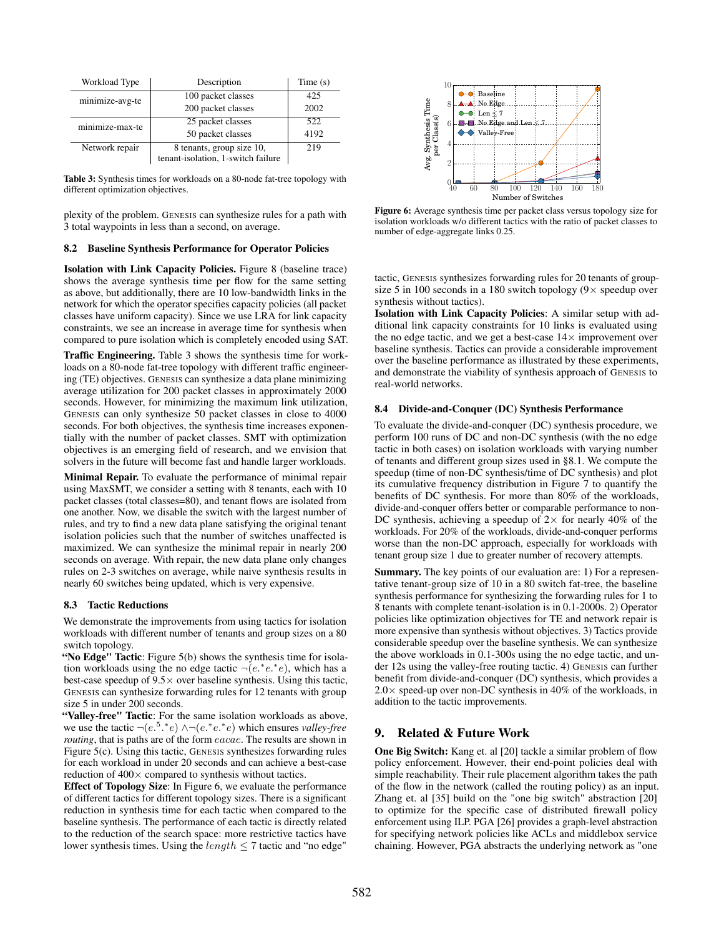| Workload Type   | Description                        | Time(s) |
|-----------------|------------------------------------|---------|
| minimize-avg-te | 100 packet classes                 | 425     |
|                 | 200 packet classes                 | 2002    |
| minimize-max-te | 25 packet classes                  | 522     |
|                 | 50 packet classes                  | 4192    |
| Network repair  | 8 tenants, group size 10,          | 219     |
|                 | tenant-isolation, 1-switch failure |         |

Table 3: Synthesis times for workloads on a 80-node fat-tree topology with different optimization objectives.

plexity of the problem. GENESIS can synthesize rules for a path with 3 total waypoints in less than a second, on average.

#### 8.2 Baseline Synthesis Performance for Operator Policies

Isolation with Link Capacity Policies. Figure 8 (baseline trace) shows the average synthesis time per flow for the same setting as above, but additionally, there are 10 low-bandwidth links in the network for which the operator specifies capacity policies (all packet classes have uniform capacity). Since we use LRA for link capacity constraints, we see an increase in average time for synthesis when compared to pure isolation which is completely encoded using SAT.

Traffic Engineering. Table 3 shows the synthesis time for workloads on a 80-node fat-tree topology with different traffic engineering (TE) objectives. GENESIS can synthesize a data plane minimizing average utilization for 200 packet classes in approximately 2000 seconds. However, for minimizing the maximum link utilization, GENESIS can only synthesize 50 packet classes in close to 4000 seconds. For both objectives, the synthesis time increases exponentially with the number of packet classes. SMT with optimization objectives is an emerging field of research, and we envision that solvers in the future will become fast and handle larger workloads.

Minimal Repair. To evaluate the performance of minimal repair using MaxSMT, we consider a setting with 8 tenants, each with 10 packet classes (total classes=80), and tenant flows are isolated from one another. Now, we disable the switch with the largest number of rules, and try to find a new data plane satisfying the original tenant isolation policies such that the number of switches unaffected is maximized. We can synthesize the minimal repair in nearly 200 seconds on average. With repair, the new data plane only changes rules on 2-3 switches on average, while naive synthesis results in nearly 60 switches being updated, which is very expensive.

#### 8.3 Tactic Reductions

We demonstrate the improvements from using tactics for isolation workloads with different number of tenants and group sizes on a 80 switch topology.

"No Edge" Tactic: Figure 5(b) shows the synthesis time for isolation workloads using the no edge tactic  $\neg(e^*e^*e)$ , which has a best-case speedup of  $9.5 \times$  over baseline synthesis. Using this tactic, GENESIS can synthesize forwarding rules for 12 tenants with group size 5 in under 200 seconds.

"Valley-free" Tactic: For the same isolation workloads as above, we use the tactic  $\neg(e^{.5}.*e) \land \neg(e.*e.*e)$  which ensures *valley-free routing*, that is paths are of the form *eacae*. The results are shown in Figure 5(c). Using this tactic, GENESIS synthesizes forwarding rules for each workload in under 20 seconds and can achieve a best-case reduction of  $400 \times$  compared to synthesis without tactics.

Effect of Topology Size: In Figure 6, we evaluate the performance of different tactics for different topology sizes. There is a significant reduction in synthesis time for each tactic when compared to the baseline synthesis. The performance of each tactic is directly related to the reduction of the search space: more restrictive tactics have lower synthesis times. Using the  $length \leq 7$  tactic and "no edge"



Figure 6: Average synthesis time per packet class versus topology size for isolation workloads w/o different tactics with the ratio of packet classes to number of edge-aggregate links 0.25.

tactic, GENESIS synthesizes forwarding rules for 20 tenants of groupsize 5 in 100 seconds in a 180 switch topology  $(9 \times$  speedup over synthesis without tactics).

Isolation with Link Capacity Policies: A similar setup with additional link capacity constraints for 10 links is evaluated using the no edge tactic, and we get a best-case  $14\times$  improvement over baseline synthesis. Tactics can provide a considerable improvement over the baseline performance as illustrated by these experiments, and demonstrate the viability of synthesis approach of GENESIS to real-world networks.

## 8.4 Divide-and-Conquer (DC) Synthesis Performance

To evaluate the divide-and-conquer (DC) synthesis procedure, we perform 100 runs of DC and non-DC synthesis (with the no edge tactic in both cases) on isolation workloads with varying number of tenants and different group sizes used in §8.1. We compute the speedup (time of non-DC synthesis/time of DC synthesis) and plot its cumulative frequency distribution in Figure 7 to quantify the benefits of DC synthesis. For more than 80% of the workloads, divide-and-conquer offers better or comparable performance to non-DC synthesis, achieving a speedup of  $2 \times$  for nearly 40% of the workloads. For 20% of the workloads, divide-and-conquer performs worse than the non-DC approach, especially for workloads with tenant group size 1 due to greater number of recovery attempts.

Summary. The key points of our evaluation are: 1) For a representative tenant-group size of 10 in a 80 switch fat-tree, the baseline synthesis performance for synthesizing the forwarding rules for 1 to 8 tenants with complete tenant-isolation is in 0.1-2000s. 2) Operator policies like optimization objectives for TE and network repair is more expensive than synthesis without objectives. 3) Tactics provide considerable speedup over the baseline synthesis. We can synthesize the above workloads in 0.1-300s using the no edge tactic, and under 12s using the valley-free routing tactic. 4) GENESIS can further benefit from divide-and-conquer (DC) synthesis, which provides a  $2.0\times$  speed-up over non-DC synthesis in 40% of the workloads, in addition to the tactic improvements.

## 9. Related & Future Work

One Big Switch: Kang et. al [20] tackle a similar problem of flow policy enforcement. However, their end-point policies deal with simple reachability. Their rule placement algorithm takes the path of the flow in the network (called the routing policy) as an input. Zhang et. al [35] build on the "one big switch" abstraction [20] to optimize for the specific case of distributed firewall policy enforcement using ILP. PGA [26] provides a graph-level abstraction for specifying network policies like ACLs and middlebox service chaining. However, PGA abstracts the underlying network as "one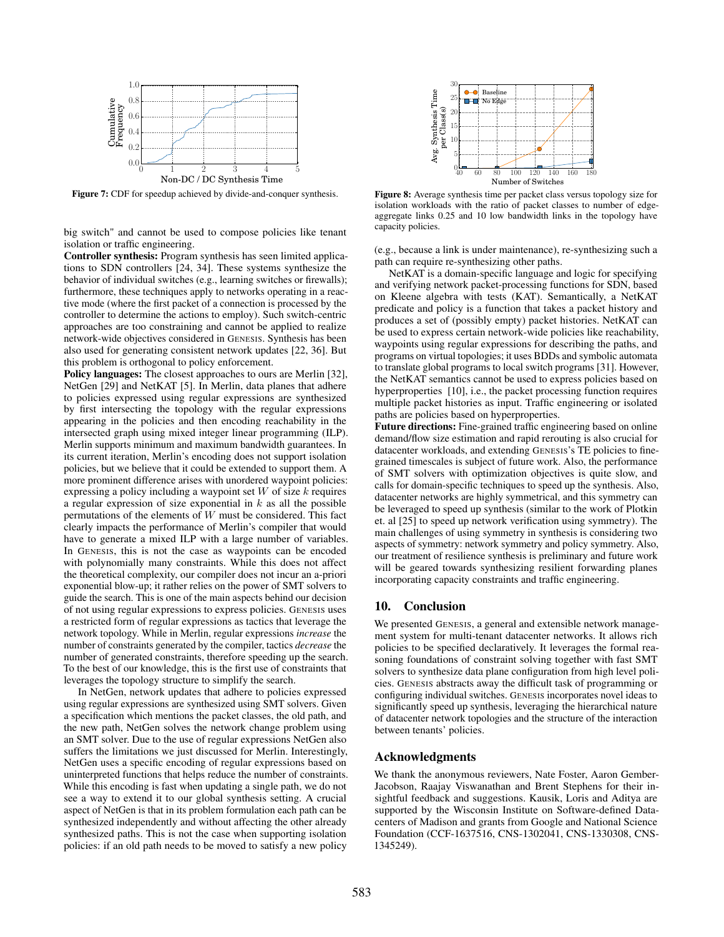

Figure 7: CDF for speedup achieved by divide-and-conquer synthesis.

big switch" and cannot be used to compose policies like tenant isolation or traffic engineering.

Controller synthesis: Program synthesis has seen limited applications to SDN controllers [24, 34]. These systems synthesize the behavior of individual switches (e.g., learning switches or firewalls); furthermore, these techniques apply to networks operating in a reactive mode (where the first packet of a connection is processed by the controller to determine the actions to employ). Such switch-centric approaches are too constraining and cannot be applied to realize network-wide objectives considered in GENESIS. Synthesis has been also used for generating consistent network updates [22, 36]. But this problem is orthogonal to policy enforcement.

Policy languages: The closest approaches to ours are Merlin [32], NetGen [29] and NetKAT [5]. In Merlin, data planes that adhere to policies expressed using regular expressions are synthesized by first intersecting the topology with the regular expressions appearing in the policies and then encoding reachability in the intersected graph using mixed integer linear programming (ILP). Merlin supports minimum and maximum bandwidth guarantees. In its current iteration, Merlin's encoding does not support isolation policies, but we believe that it could be extended to support them. A more prominent difference arises with unordered waypoint policies: expressing a policy including a waypoint set  $W$  of size  $k$  requires a regular expression of size exponential in  $k$  as all the possible permutations of the elements of W must be considered. This fact clearly impacts the performance of Merlin's compiler that would have to generate a mixed ILP with a large number of variables. In GENESIS, this is not the case as waypoints can be encoded with polynomially many constraints. While this does not affect the theoretical complexity, our compiler does not incur an a-priori exponential blow-up; it rather relies on the power of SMT solvers to guide the search. This is one of the main aspects behind our decision of not using regular expressions to express policies. GENESIS uses a restricted form of regular expressions as tactics that leverage the network topology. While in Merlin, regular expressions *increase* the number of constraints generated by the compiler, tactics *decrease* the number of generated constraints, therefore speeding up the search. To the best of our knowledge, this is the first use of constraints that leverages the topology structure to simplify the search.

In NetGen, network updates that adhere to policies expressed using regular expressions are synthesized using SMT solvers. Given a specification which mentions the packet classes, the old path, and the new path, NetGen solves the network change problem using an SMT solver. Due to the use of regular expressions NetGen also suffers the limitations we just discussed for Merlin. Interestingly, NetGen uses a specific encoding of regular expressions based on uninterpreted functions that helps reduce the number of constraints. While this encoding is fast when updating a single path, we do not see a way to extend it to our global synthesis setting. A crucial aspect of NetGen is that in its problem formulation each path can be synthesized independently and without affecting the other already synthesized paths. This is not the case when supporting isolation policies: if an old path needs to be moved to satisfy a new policy



Figure 8: Average synthesis time per packet class versus topology size for isolation workloads with the ratio of packet classes to number of edgeaggregate links 0.25 and 10 low bandwidth links in the topology have capacity policies.

(e.g., because a link is under maintenance), re-synthesizing such a path can require re-synthesizing other paths.

NetKAT is a domain-specific language and logic for specifying and verifying network packet-processing functions for SDN, based on Kleene algebra with tests (KAT). Semantically, a NetKAT predicate and policy is a function that takes a packet history and produces a set of (possibly empty) packet histories. NetKAT can be used to express certain network-wide policies like reachability, waypoints using regular expressions for describing the paths, and programs on virtual topologies; it uses BDDs and symbolic automata to translate global programs to local switch programs [31]. However, the NetKAT semantics cannot be used to express policies based on hyperproperties [10], i.e., the packet processing function requires multiple packet histories as input. Traffic engineering or isolated paths are policies based on hyperproperties.

Future directions: Fine-grained traffic engineering based on online demand/flow size estimation and rapid rerouting is also crucial for datacenter workloads, and extending GENESIS's TE policies to finegrained timescales is subject of future work. Also, the performance of SMT solvers with optimization objectives is quite slow, and calls for domain-specific techniques to speed up the synthesis. Also, datacenter networks are highly symmetrical, and this symmetry can be leveraged to speed up synthesis (similar to the work of Plotkin et. al [25] to speed up network verification using symmetry). The main challenges of using symmetry in synthesis is considering two aspects of symmetry: network symmetry and policy symmetry. Also, our treatment of resilience synthesis is preliminary and future work will be geared towards synthesizing resilient forwarding planes incorporating capacity constraints and traffic engineering.

## 10. Conclusion

We presented GENESIS, a general and extensible network management system for multi-tenant datacenter networks. It allows rich policies to be specified declaratively. It leverages the formal reasoning foundations of constraint solving together with fast SMT solvers to synthesize data plane configuration from high level policies. GENESIS abstracts away the difficult task of programming or configuring individual switches. GENESIS incorporates novel ideas to significantly speed up synthesis, leveraging the hierarchical nature of datacenter network topologies and the structure of the interaction between tenants' policies.

## Acknowledgments

We thank the anonymous reviewers, Nate Foster, Aaron Gember-Jacobson, Raajay Viswanathan and Brent Stephens for their insightful feedback and suggestions. Kausik, Loris and Aditya are supported by the Wisconsin Institute on Software-defined Datacenters of Madison and grants from Google and National Science Foundation (CCF-1637516, CNS-1302041, CNS-1330308, CNS-1345249).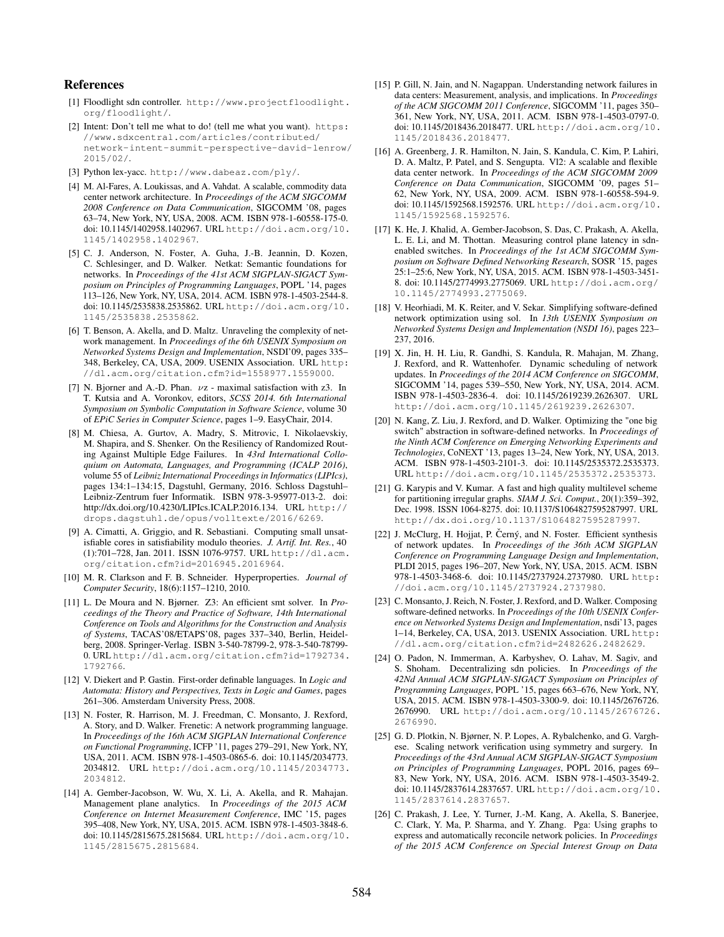## References

- [1] Floodlight sdn controller. http://www.projectfloodlight. org/floodlight/.
- [2] Intent: Don't tell me what to do! (tell me what you want). https: //www.sdxcentral.com/articles/contributed/ network-intent-summit-perspective-david-lenrow/ 2015/02/.
- [3] Python lex-yacc. http://www.dabeaz.com/ply/.
- [4] M. Al-Fares, A. Loukissas, and A. Vahdat. A scalable, commodity data center network architecture. In *Proceedings of the ACM SIGCOMM 2008 Conference on Data Communication*, SIGCOMM '08, pages 63–74, New York, NY, USA, 2008. ACM. ISBN 978-1-60558-175-0. doi: 10.1145/1402958.1402967. URL http://doi.acm.org/10. 1145/1402958.1402967.
- [5] C. J. Anderson, N. Foster, A. Guha, J.-B. Jeannin, D. Kozen, C. Schlesinger, and D. Walker. Netkat: Semantic foundations for networks. In *Proceedings of the 41st ACM SIGPLAN-SIGACT Symposium on Principles of Programming Languages*, POPL '14, pages 113–126, New York, NY, USA, 2014. ACM. ISBN 978-1-4503-2544-8. doi: 10.1145/2535838.2535862. URL http://doi.acm.org/10. 1145/2535838.2535862.
- [6] T. Benson, A. Akella, and D. Maltz. Unraveling the complexity of network management. In *Proceedings of the 6th USENIX Symposium on Networked Systems Design and Implementation*, NSDI'09, pages 335– 348, Berkeley, CA, USA, 2009. USENIX Association. URL http: //dl.acm.org/citation.cfm?id=1558977.1559000.
- [7] N. Bjorner and A.-D. Phan.  $\nu z$  maximal satisfaction with z3. In T. Kutsia and A. Voronkov, editors, *SCSS 2014. 6th International Symposium on Symbolic Computation in Software Science*, volume 30 of *EPiC Series in Computer Science*, pages 1–9. EasyChair, 2014.
- [8] M. Chiesa, A. Gurtov, A. Madry, S. Mitrovic, I. Nikolaevskiy, M. Shapira, and S. Shenker. On the Resiliency of Randomized Routing Against Multiple Edge Failures. In *43rd International Colloquium on Automata, Languages, and Programming (ICALP 2016)*, volume 55 of *Leibniz International Proceedings in Informatics (LIPIcs)*, pages 134:1–134:15, Dagstuhl, Germany, 2016. Schloss Dagstuhl– Leibniz-Zentrum fuer Informatik. ISBN 978-3-95977-013-2. doi: http://dx.doi.org/10.4230/LIPIcs.ICALP.2016.134. URL http:// drops.dagstuhl.de/opus/volltexte/2016/6269.
- [9] A. Cimatti, A. Griggio, and R. Sebastiani. Computing small unsatisfiable cores in satisfiability modulo theories. *J. Artif. Int. Res.*, 40 (1):701–728, Jan. 2011. ISSN 1076-9757. URL http://dl.acm. org/citation.cfm?id=2016945.2016964.
- [10] M. R. Clarkson and F. B. Schneider. Hyperproperties. *Journal of Computer Security*, 18(6):1157–1210, 2010.
- [11] L. De Moura and N. Bjørner. Z3: An efficient smt solver. In *Proceedings of the Theory and Practice of Software, 14th International Conference on Tools and Algorithms for the Construction and Analysis of Systems*, TACAS'08/ETAPS'08, pages 337–340, Berlin, Heidelberg, 2008. Springer-Verlag. ISBN 3-540-78799-2, 978-3-540-78799- 0. URL http://dl.acm.org/citation.cfm?id=1792734. 1792766.
- [12] V. Diekert and P. Gastin. First-order definable languages. In *Logic and Automata: History and Perspectives, Texts in Logic and Games*, pages 261–306. Amsterdam University Press, 2008.
- [13] N. Foster, R. Harrison, M. J. Freedman, C. Monsanto, J. Rexford, A. Story, and D. Walker. Frenetic: A network programming language. In *Proceedings of the 16th ACM SIGPLAN International Conference on Functional Programming*, ICFP '11, pages 279–291, New York, NY, USA, 2011. ACM. ISBN 978-1-4503-0865-6. doi: 10.1145/2034773. 2034812. URL http://doi.acm.org/10.1145/2034773. 2034812.
- [14] A. Gember-Jacobson, W. Wu, X. Li, A. Akella, and R. Mahajan. Management plane analytics. In *Proceedings of the 2015 ACM Conference on Internet Measurement Conference*, IMC '15, pages 395–408, New York, NY, USA, 2015. ACM. ISBN 978-1-4503-3848-6. doi: 10.1145/2815675.2815684. URL http://doi.acm.org/10. 1145/2815675.2815684.
- [15] P. Gill, N. Jain, and N. Nagappan. Understanding network failures in data centers: Measurement, analysis, and implications. In *Proceedings of the ACM SIGCOMM 2011 Conference*, SIGCOMM '11, pages 350– 361, New York, NY, USA, 2011. ACM. ISBN 978-1-4503-0797-0. doi: 10.1145/2018436.2018477. URL http://doi.acm.org/10. 1145/2018436.2018477.
- [16] A. Greenberg, J. R. Hamilton, N. Jain, S. Kandula, C. Kim, P. Lahiri, D. A. Maltz, P. Patel, and S. Sengupta. Vl2: A scalable and flexible data center network. In *Proceedings of the ACM SIGCOMM 2009 Conference on Data Communication*, SIGCOMM '09, pages 51– 62, New York, NY, USA, 2009. ACM. ISBN 978-1-60558-594-9. doi: 10.1145/1592568.1592576. URL http://doi.acm.org/10. 1145/1592568.1592576.
- [17] K. He, J. Khalid, A. Gember-Jacobson, S. Das, C. Prakash, A. Akella, L. E. Li, and M. Thottan. Measuring control plane latency in sdnenabled switches. In *Proceedings of the 1st ACM SIGCOMM Symposium on Software Defined Networking Research*, SOSR '15, pages 25:1–25:6, New York, NY, USA, 2015. ACM. ISBN 978-1-4503-3451- 8. doi: 10.1145/2774993.2775069. URL http://doi.acm.org/ 10.1145/2774993.2775069.
- [18] V. Heorhiadi, M. K. Reiter, and V. Sekar. Simplifying software-defined network optimization using sol. In *13th USENIX Symposium on Networked Systems Design and Implementation (NSDI 16)*, pages 223– 237, 2016.
- [19] X. Jin, H. H. Liu, R. Gandhi, S. Kandula, R. Mahajan, M. Zhang, J. Rexford, and R. Wattenhofer. Dynamic scheduling of network updates. In *Proceedings of the 2014 ACM Conference on SIGCOMM*, SIGCOMM '14, pages 539–550, New York, NY, USA, 2014. ACM. ISBN 978-1-4503-2836-4. doi: 10.1145/2619239.2626307. URL http://doi.acm.org/10.1145/2619239.2626307.
- [20] N. Kang, Z. Liu, J. Rexford, and D. Walker. Optimizing the "one big switch" abstraction in software-defined networks. In *Proceedings of the Ninth ACM Conference on Emerging Networking Experiments and Technologies*, CoNEXT '13, pages 13–24, New York, NY, USA, 2013. ACM. ISBN 978-1-4503-2101-3. doi: 10.1145/2535372.2535373. URL http://doi.acm.org/10.1145/2535372.2535373.
- [21] G. Karypis and V. Kumar. A fast and high quality multilevel scheme for partitioning irregular graphs. *SIAM J. Sci. Comput.*, 20(1):359–392, Dec. 1998. ISSN 1064-8275. doi: 10.1137/S1064827595287997. URL http://dx.doi.org/10.1137/S1064827595287997.
- [22] J. McClurg, H. Hojjat, P. Černý, and N. Foster. Efficient synthesis of network updates. In *Proceedings of the 36th ACM SIGPLAN Conference on Programming Language Design and Implementation*, PLDI 2015, pages 196–207, New York, NY, USA, 2015. ACM. ISBN 978-1-4503-3468-6. doi: 10.1145/2737924.2737980. URL http: //doi.acm.org/10.1145/2737924.2737980.
- [23] C. Monsanto, J. Reich, N. Foster, J. Rexford, and D. Walker. Composing software-defined networks. In *Proceedings of the 10th USENIX Conference on Networked Systems Design and Implementation*, nsdi'13, pages 1–14, Berkeley, CA, USA, 2013. USENIX Association. URL http: //dl.acm.org/citation.cfm?id=2482626.2482629.
- [24] O. Padon, N. Immerman, A. Karbyshev, O. Lahav, M. Sagiv, and S. Shoham. Decentralizing sdn policies. In *Proceedings of the 42Nd Annual ACM SIGPLAN-SIGACT Symposium on Principles of Programming Languages*, POPL '15, pages 663–676, New York, NY, USA, 2015. ACM. ISBN 978-1-4503-3300-9. doi: 10.1145/2676726. 2676990. URL http://doi.acm.org/10.1145/2676726. 2676990.
- [25] G. D. Plotkin, N. Bjørner, N. P. Lopes, A. Rybalchenko, and G. Varghese. Scaling network verification using symmetry and surgery. In *Proceedings of the 43rd Annual ACM SIGPLAN-SIGACT Symposium on Principles of Programming Languages*, POPL 2016, pages 69– 83, New York, NY, USA, 2016. ACM. ISBN 978-1-4503-3549-2. doi: 10.1145/2837614.2837657. URL http://doi.acm.org/10. 1145/2837614.2837657.
- [26] C. Prakash, J. Lee, Y. Turner, J.-M. Kang, A. Akella, S. Banerjee, C. Clark, Y. Ma, P. Sharma, and Y. Zhang. Pga: Using graphs to express and automatically reconcile network policies. In *Proceedings of the 2015 ACM Conference on Special Interest Group on Data*